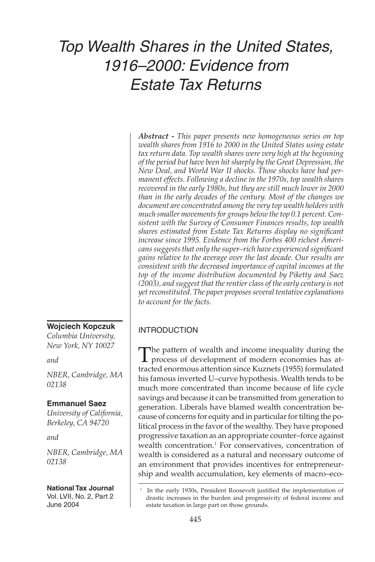# Top Wealth Shares in the United States, 1916–2000: Evidence from Estate Tax Returns

*Abstract - This paper presents new homogeneous series on top wealth shares from 1916 to 2000 in the United States using estate tax return data. Top wealth shares were very high at the beginning of the period but have been hit sharply by the Great Depression, the New Deal, and World War II shocks. Those shocks have had permanent effects. Following a decline in the 1970s, top wealth shares recovered in the early 1980s, but they are still much lower in 2000 than in the early decades of the century. Most of the changes we document are concentrated among the very top wealth holders with much smaller movements for groups below the top 0.1 percent. Consistent with the Survey of Consumer Finances results, top wealth shares estimated from Estate Tax Returns display no significant increase since 1995. Evidence from the Forbes 400 richest Americans suggests that only the super–rich have experienced significant gains relative to the average over the last decade. Our results are consistent with the decreased importance of capital incomes at the top of the income distribution documented by Piketty and Saez (2003), and suggest that the rentier class of the early century is not yet reconstituted. The paper proposes several tentative explanations to account for the facts.* 

# INTRODUCTION

The pattern of wealth and income inequality during the process of development of modern economies has attracted enormous attention since Kuznets (1955) formulated his famous inverted U–curve hypothesis. Wealth tends to be much more concentrated than income because of life cycle savings and because it can be transmitted from generation to generation. Liberals have blamed wealth concentration because of concerns for equity and in particular for tilting the political process in the favor of the wealthy. They have proposed progressive taxation as an appropriate counter–force against wealth concentration.<sup>1</sup> For conservatives, concentration of wealth is considered as a natural and necessary outcome of an environment that provides incentives for entrepreneurship and wealth accumulation, key elements of macro–eco-

**Wojciech Kopczuk**  *Columbia University,* 

*New York, NY 10027*

*and* 

*NBER, Cambridge, MA 02138*

# **Emmanuel Saez**

*University of California, Berkeley, CA 94720* 

*and* 

*NBER, Cambridge, MA 02138*

**National Tax Journal** Vol. LVII, No. 2, Part 2 June 2004

 <sup>1</sup> In the early 1930s, President Roosevelt justified the implementation of drastic increases in the burden and progressivity of federal income and estate taxation in large part on those grounds.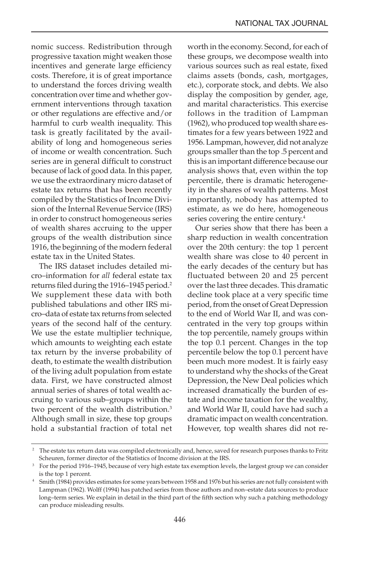nomic success. Redistribution through progressive taxation might weaken those incentives and generate large efficiency costs. Therefore, it is of great importance to understand the forces driving wealth concentration over time and whether government interventions through taxation or other regulations are effective and/or harmful to curb wealth inequality. This task is greatly facilitated by the availability of long and homogeneous series of income or wealth concentration. Such series are in general difficult to construct because of lack of good data. In this paper, we use the extraordinary micro dataset of estate tax returns that has been recently compiled by the Statistics of Income Division of the Internal Revenue Service (IRS) in order to construct homogeneous series of wealth shares accruing to the upper groups of the wealth distribution since 1916, the beginning of the modern federal estate tax in the United States.

The IRS dataset includes detailed micro–information for *all* federal estate tax returns filed during the 1916–1945 period.<sup>2</sup> We supplement these data with both published tabulations and other IRS micro–data of estate tax returns from selected years of the second half of the century. We use the estate multiplier technique, which amounts to weighting each estate tax return by the inverse probability of death, to estimate the wealth distribution of the living adult population from estate data. First, we have constructed almost annual series of shares of total wealth accruing to various sub–groups within the two percent of the wealth distribution.<sup>3</sup> Although small in size, these top groups hold a substantial fraction of total net worth in the economy. Second, for each of these groups, we decompose wealth into various sources such as real estate, fixed claims assets (bonds, cash, mortgages, etc.), corporate stock, and debts. We also display the composition by gender, age, and marital characteristics. This exercise follows in the tradition of Lampman (1962), who produced top wealth share estimates for a few years between 1922 and 1956. Lampman, however, did not analyze groups smaller than the top .5 percent and this is an important difference because our analysis shows that, even within the top percentile, there is dramatic heterogeneity in the shares of wealth patterns. Most importantly, nobody has attempted to estimate, as we do here, homogeneous series covering the entire century.<sup>4</sup>

Our series show that there has been a sharp reduction in wealth concentration over the 20th century: the top 1 percent wealth share was close to 40 percent in the early decades of the century but has fluctuated between 20 and 25 percent over the last three decades. This dramatic decline took place at a very specific time period, from the onset of Great Depression to the end of World War II, and was concentrated in the very top groups within the top percentile, namely groups within the top 0.1 percent. Changes in the top percentile below the top 0.1 percent have been much more modest. It is fairly easy to understand why the shocks of the Great Depression, the New Deal policies which increased dramatically the burden of estate and income taxation for the wealthy, and World War II, could have had such a dramatic impact on wealth concentration. However, top wealth shares did not re-

<sup>&</sup>lt;sup>2</sup> The estate tax return data was compiled electronically and, hence, saved for research purposes thanks to Fritz Scheuren, former director of the Statistics of Income division at the IRS.<br><sup>3</sup> For the period 1916–1945, because of very high estate tax exemption levels, the largest group we can consider

is the top 1 percent. 4 Smith (1984) provides estimates for some years between 1958 and 1976 but his series are not fully consistent with

Lampman (1962). Wolff (1994) has patched series from those authors and non–estate data sources to produce long–term series. We explain in detail in the third part of the fifth section why such a patching methodology can produce misleading results.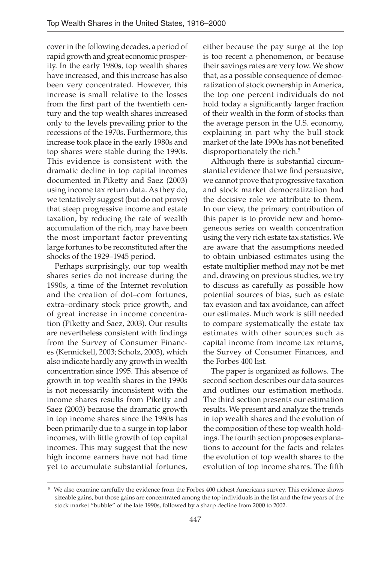cover in the following decades, a period of rapid growth and great economic prosperity. In the early 1980s, top wealth shares have increased, and this increase has also been very concentrated. However, this increase is small relative to the losses from the first part of the twentieth century and the top wealth shares increased only to the levels prevailing prior to the recessions of the 1970s. Furthermore, this increase took place in the early 1980s and top shares were stable during the 1990s. This evidence is consistent with the dramatic decline in top capital incomes documented in Piketty and Saez (2003) using income tax return data. As they do, we tentatively suggest (but do not prove) that steep progressive income and estate taxation, by reducing the rate of wealth accumulation of the rich, may have been the most important factor preventing large fortunes to be reconstituted after the shocks of the 1929–1945 period.

Perhaps surprisingly, our top wealth shares series do not increase during the 1990s, a time of the Internet revolution and the creation of dot–com fortunes, extra–ordinary stock price growth, and of great increase in income concentration (Piketty and Saez, 2003). Our results are nevertheless consistent with findings from the Survey of Consumer Finances (Kennickell, 2003; Scholz, 2003), which also indicate hardly any growth in wealth concentration since 1995. This absence of growth in top wealth shares in the 1990s is not necessarily inconsistent with the income shares results from Piketty and Saez (2003) because the dramatic growth in top income shares since the 1980s has been primarily due to a surge in top labor incomes, with little growth of top capital incomes. This may suggest that the new high income earners have not had time yet to accumulate substantial fortunes,

either because the pay surge at the top is too recent a phenomenon, or because their savings rates are very low. We show that, as a possible consequence of democratization of stock ownership in America, the top one percent individuals do not hold today a significantly larger fraction of their wealth in the form of stocks than the average person in the U.S. economy, explaining in part why the bull stock market of the late 1990s has not benefited disproportionately the rich.<sup>5</sup>

Although there is substantial circumstantial evidence that we find persuasive, we cannot prove that progressive taxation and stock market democratization had the decisive role we attribute to them. In our view, the primary contribution of this paper is to provide new and homogeneous series on wealth concentration using the very rich estate tax statistics. We are aware that the assumptions needed to obtain unbiased estimates using the estate multiplier method may not be met and, drawing on previous studies, we try to discuss as carefully as possible how potential sources of bias, such as estate tax evasion and tax avoidance, can affect our estimates. Much work is still needed to compare systematically the estate tax estimates with other sources such as capital income from income tax returns, the Survey of Consumer Finances, and the Forbes 400 list.

The paper is organized as follows. The second section describes our data sources and outlines our estimation methods. The third section presents our estimation results. We present and analyze the trends in top wealth shares and the evolution of the composition of these top wealth holdings. The fourth section proposes explanations to account for the facts and relates the evolution of top wealth shares to the evolution of top income shares. The fifth

We also examine carefully the evidence from the Forbes 400 richest Americans survey. This evidence shows sizeable gains, but those gains are concentrated among the top individuals in the list and the few years of the stock market "bubble" of the late 1990s, followed by a sharp decline from 2000 to 2002.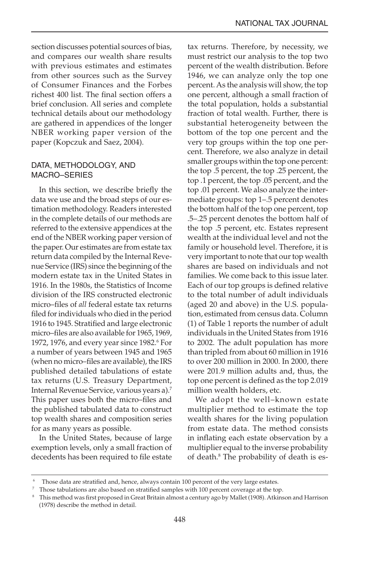section discusses potential sources of bias, and compares our wealth share results with previous estimates and estimates from other sources such as the Survey of Consumer Finances and the Forbes richest 400 list. The final section offers a brief conclusion. All series and complete technical details about our methodology are gathered in appendices of the longer NBER working paper version of the paper (Kopczuk and Saez, 2004).

# DATA, METHODOLOGY, AND MACRO–SERIES

In this section, we describe briefly the data we use and the broad steps of our estimation methodology. Readers interested in the complete details of our methods are referred to the extensive appendices at the end of the NBER working paper version of the paper. Our estimates are from estate tax return data compiled by the Internal Revenue Service (IRS) since the beginning of the modern estate tax in the United States in 1916. In the 1980s, the Statistics of Income division of the IRS constructed electronic micro–files of *all* federal estate tax returns filed for individuals who died in the period 1916 to 1945. Stratified and large electronic micro–files are also available for 1965, 1969, 1972, 1976, and every year since 1982.<sup>6</sup> For a number of years between 1945 and 1965 (when no micro–files are available), the IRS published detailed tabulations of estate tax returns (U.S. Treasury Department, Internal Revenue Service, various years a).7 This paper uses both the micro–files and the published tabulated data to construct top wealth shares and composition series for as many years as possible.

In the United States, because of large exemption levels, only a small fraction of decedents has been required to file estate tax returns. Therefore, by necessity, we must restrict our analysis to the top two percent of the wealth distribution. Before 1946, we can analyze only the top one percent. As the analysis will show, the top one percent, although a small fraction of the total population, holds a substantial fraction of total wealth. Further, there is substantial heterogeneity between the bottom of the top one percent and the very top groups within the top one percent. Therefore, we also analyze in detail smaller groups within the top one percent: the top .5 percent, the top .25 percent, the top .1 percent, the top .05 percent, and the top .01 percent. We also analyze the intermediate groups: top 1–.5 percent denotes the bottom half of the top one percent, top .5–.25 percent denotes the bottom half of the top .5 percent, etc. Estates represent wealth at the individual level and not the family or household level. Therefore, it is very important to note that our top wealth shares are based on individuals and not families. We come back to this issue later. Each of our top groups is defined relative to the total number of adult individuals (aged 20 and above) in the U.S. population, estimated from census data. Column (1) of Table 1 reports the number of adult individuals in the United States from 1916 to 2002. The adult population has more than tripled from about 60 million in 1916 to over 200 million in 2000. In 2000, there were 201.9 million adults and, thus, the top one percent is defined as the top 2.019 million wealth holders, etc.

We adopt the well–known estate multiplier method to estimate the top wealth shares for the living population from estate data. The method consists in inflating each estate observation by a multiplier equal to the inverse probability of death.8 The probability of death is es-

<sup>&</sup>lt;sup>6</sup> Those data are stratified and, hence, always contain 100 percent of the very large estates.<br><sup>7</sup> Those tabulations are also based on stratified samples with 100 percent coverage at the top.<br><sup>8</sup> This method was first pro (1978) describe the method in detail.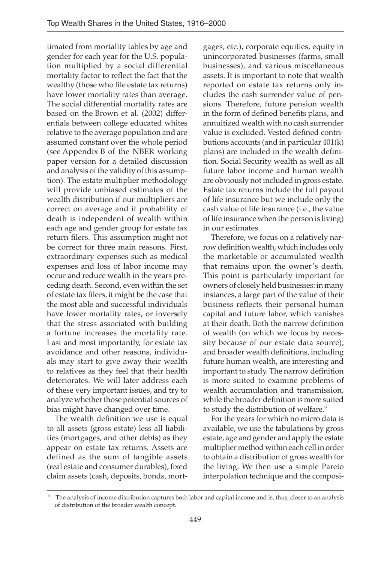timated from mortality tables by age and gender for each year for the U.S. population multiplied by a social differential mortality factor to reflect the fact that the wealthy (those who file estate tax returns) have lower mortality rates than average. The social differential mortality rates are based on the Brown et al. (2002) differentials between college educated whites relative to the average population and are assumed constant over the whole period (see Appendix B of the NBER working paper version for a detailed discussion and analysis of the validity of this assumption). The estate multiplier methodology will provide unbiased estimates of the wealth distribution if our multipliers are correct on average and if probability of death is independent of wealth within each age and gender group for estate tax return filers. This assumption might not be correct for three main reasons. First, extraordinary expenses such as medical expenses and loss of labor income may occur and reduce wealth in the years preceding death. Second, even within the set of estate tax filers, it might be the case that the most able and successful individuals have lower mortality rates, or inversely that the stress associated with building a fortune increases the mortality rate. Last and most importantly, for estate tax avoidance and other reasons, individuals may start to give away their wealth to relatives as they feel that their health deteriorates. We will later address each of these very important issues, and try to analyze whether those potential sources of bias might have changed over time.

The wealth definition we use is equal to all assets (gross estate) less all liabilities (mortgages, and other debts) as they appear on estate tax returns. Assets are defined as the sum of tangible assets (real estate and consumer durables), fixed claim assets (cash, deposits, bonds, mort-

gages, etc.), corporate equities, equity in unincorporated businesses (farms, small businesses), and various miscellaneous assets. It is important to note that wealth reported on estate tax returns only includes the cash surrender value of pensions. Therefore, future pension wealth in the form of defined benefits plans, and annuitized wealth with no cash surrender value is excluded. Vested defined contributions accounts (and in particular 401(k) plans) are included in the wealth definition. Social Security wealth as well as all future labor income and human wealth are obviously not included in gross estate. Estate tax returns include the full payout of life insurance but we include only the cash value of life insurance (i.e., the value of life insurance when the person is living) in our estimates.

Therefore, we focus on a relatively narrow definition wealth, which includes only the marketable or accumulated wealth that remains upon the owner's death. This point is particularly important for owners of closely held businesses: in many instances, a large part of the value of their business reflects their personal human capital and future labor, which vanishes at their death. Both the narrow definition of wealth (on which we focus by necessity because of our estate data source), and broader wealth definitions, including future human wealth, are interesting and important to study. The narrow definition is more suited to examine problems of wealth accumulation and transmission, while the broader definition is more suited to study the distribution of welfare.<sup>9</sup>

For the years for which no micro data is available, we use the tabulations by gross estate, age and gender and apply the estate multiplier method within each cell in order to obtain a distribution of gross wealth for the living. We then use a simple Pareto interpolation technique and the composi-

The analysis of income distribution captures both labor and capital income and is, thus, closer to an analysis of distribution of the broader wealth concept.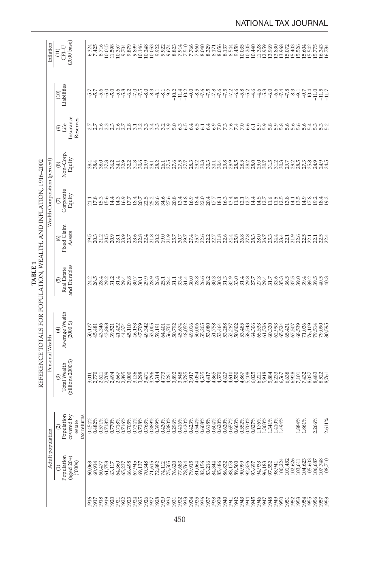|                                                                   | Inflation                    | (2000 base)<br>$CDI-U$<br>$\begin{array}{c} 1 \end{array}$ |        | 6.324<br>7.425 | 8.716  |                |                                           |        | 001588<br>11.585<br>11.587<br>9.889<br>9.899 | $\begin{array}{l} 4480 \\[-4pt] 2480 \\[-4pt] 2490 \\[-4pt] 2490 \\[-4pt] 2490 \\[-4pt] 2490 \\[-4pt] 2490 \\[-4pt] 2490 \\[-4pt] 2490 \\[-4pt] 2490 \\[-4pt] 2490 \\[-4pt] 2490 \\[-4pt] 2490 \\[-4pt] 2490 \\[-4pt] 2490 \\[-4pt] 2490 \\[-4pt] 2490 \\[-4pt] 2490 \\[-4pt] 2490 \\[-4pt] 2490 \\[-4pt] 2490 \\[-4pt] 24$ |        |        |                                                                     | 333555<br>235555<br>28555 |  | 7.960<br>8.040                      | 8.329 | 도움함末<br>- 동음료                                                                                                                         |  | 9.458 |                            |        |        |                            |                        |                         |                  |              |         | 16.343<br>16.784                                                                     |
|-------------------------------------------------------------------|------------------------------|------------------------------------------------------------|--------|----------------|--------|----------------|-------------------------------------------|--------|----------------------------------------------|-----------------------------------------------------------------------------------------------------------------------------------------------------------------------------------------------------------------------------------------------------------------------------------------------------------------------------|--------|--------|---------------------------------------------------------------------|---------------------------|--|-------------------------------------|-------|---------------------------------------------------------------------------------------------------------------------------------------|--|-------|----------------------------|--------|--------|----------------------------|------------------------|-------------------------|------------------|--------------|---------|--------------------------------------------------------------------------------------|
|                                                                   |                              | Liabilities<br>(10)                                        |        |                |        |                | 55999999                                  |        |                                              | ۹۹۹۹۹<br>۹۲۲۴                                                                                                                                                                                                                                                                                                               | $-8.3$ | $-8.1$ |                                                                     |                           |  |                                     |       |                                                                                                                                       |  |       | ဖစ္ပစ္ပဲ<br>မိုဟို ဟို     | $-4.6$ | $-4.6$ | $-5.3$                     |                        | نه نونه نه<br>خوان نونه | $-9.7$           |              | $-10.4$ | $-11.7$                                                                              |
|                                                                   |                              | Insurance<br>Reserves<br>$\odot_{\rm life}^{\rm (6)}$      |        |                |        |                |                                           |        |                                              |                                                                                                                                                                                                                                                                                                                             |        |        |                                                                     |                           |  | フフタミミクワスミースミルミングのこうますでしょう こうごうこうしょう |       | OC CA CA CA LOO CO CO CO CO CA U<br>CA NA LA CA CA CA CA CA CA CA CA CA CA                                                            |  |       |                            |        |        |                            |                        |                         |                  |              |         | ம்ம                                                                                  |
|                                                                   |                              | Non-Corp<br>Equity<br>⊛                                    |        |                |        |                | 440.021<br>888584                         |        |                                              |                                                                                                                                                                                                                                                                                                                             |        |        |                                                                     |                           |  |                                     |       |                                                                                                                                       |  |       |                            |        |        |                            |                        |                         |                  |              |         | 24.5<br>24.5                                                                         |
|                                                                   | Wealth Composition (percent) | Corporate<br>Equity<br>Q                                   |        |                |        | 213836<br>2020 | 14.3                                      |        | 16.7<br>17.7<br>18.4                         | rnasses<br>สีสีสีสีลีลี                                                                                                                                                                                                                                                                                                     |        |        |                                                                     |                           |  |                                     |       | nasa da hana da ha                                                                                                                    |  |       |                            |        |        |                            | $1276998$<br>$1211298$ | 14.1                    |                  | 14.9<br>17.8 |         | $18.4$<br>$19.2$                                                                     |
|                                                                   |                              | Fixed Claim<br>Assets<br>⊚                                 |        |                |        |                | ngaynga<br>Panaan                         |        |                                              |                                                                                                                                                                                                                                                                                                                             |        |        |                                                                     |                           |  |                                     |       |                                                                                                                                       |  |       |                            |        |        |                            |                        |                         |                  |              |         |                                                                                      |
| TABLE <sub>1</sub>                                                |                              | and Durables<br>Real Estate<br><u>ව</u>                    |        |                |        |                |                                           |        |                                              | n n a n n a a a n n a s<br>A R R R R R R R R R R                                                                                                                                                                                                                                                                            |        |        |                                                                     |                           |  |                                     |       | o, ∞ H ₹ H ₹ + O ∞ Φ N m N N m o O + ∞ N m + N + 0 m m m O + N m<br>8 A H & H % H & R & A & R & H & W + N N N A H & W & W & W & W & W |  |       |                            |        |        |                            |                        |                         |                  |              |         | 40.3                                                                                 |
| REFERENCE TOTALS FOR POPULATION, WEALTH, AND INFLATION, 1916–2002 |                              | Average Wealth<br>$(2000\text{ s})$<br>Ð                   |        |                |        |                | 0.127<br>19.346<br>19.368,521<br>19.43.35 |        |                                              | 45152836<br>45152836<br>454536                                                                                                                                                                                                                                                                                              |        |        | គ្នា<br>ភូមិស្រី<br>ស្រី ស្រី ស្លី ស្លី<br>ស្លី ស្លី ស្លី ស្លី ស្លី |                           |  |                                     |       |                                                                                                                                       |  |       |                            |        |        |                            |                        |                         | 71,036           | 76,109       |         | 79,514<br>79,090<br>80,595                                                           |
|                                                                   | Personal Wealth              | (billions 2000 \$)<br><b>Total Wealth</b><br>ම             |        |                |        |                |                                           |        |                                              |                                                                                                                                                                                                                                                                                                                             |        |        |                                                                     |                           |  |                                     |       |                                                                                                                                       |  |       |                            |        |        |                            |                        |                         |                  |              |         |                                                                                      |
|                                                                   |                              | Population<br>covered by<br>tax returns<br>estate          |        |                |        |                |                                           |        |                                              |                                                                                                                                                                                                                                                                                                                             |        |        |                                                                     |                           |  |                                     |       |                                                                                                                                       |  |       |                            |        |        |                            |                        |                         | $1.884\%$ 1.861% |              | 2.266%  | 2.611%                                                                               |
|                                                                   | Adult population             | Population<br>(aged $20+$ )<br>(000s)<br>$\widehat{E}$     | 60,063 | 60,914         | 60,477 | 61,758         | 63,117                                    | 64,360 | 65,237<br>66,498<br>67,945                   |                                                                                                                                                                                                                                                                                                                             |        |        |                                                                     |                           |  |                                     |       | 14#88256<br>634882556<br>6356888                                                                                                      |  |       | 90,999<br>92,376<br>93,697 |        | 94,933 | 96,183<br>97,552<br>98,941 |                        |                         |                  |              |         | 100,224<br>101,452<br>101,623<br>103,623<br>105,603<br>105,710<br>108,710<br>108,710 |
|                                                                   |                              |                                                            | 916    |                |        |                |                                           |        |                                              |                                                                                                                                                                                                                                                                                                                             |        |        |                                                                     |                           |  |                                     |       |                                                                                                                                       |  |       |                            |        |        |                            |                        |                         |                  |              |         | 1957                                                                                 |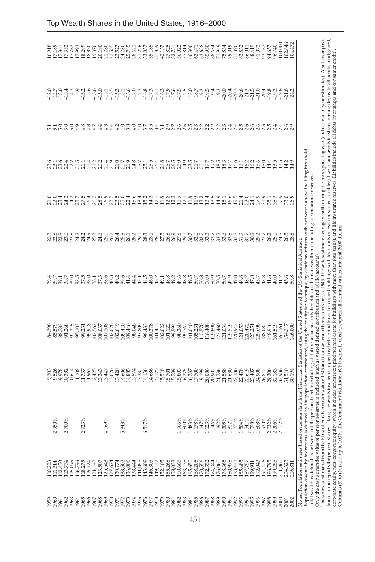| .966%<br>1.800%<br>.483%<br>1.178%<br>1.125%<br>4.069%<br>5.343%<br>6.517%<br>.147%                                                                                                                                                                                                                                                                                                                                                                                                                                                                                                                                                                                                                                                                                                                                                                                                                                                                                                                                                                                                                                                                                                         |
|---------------------------------------------------------------------------------------------------------------------------------------------------------------------------------------------------------------------------------------------------------------------------------------------------------------------------------------------------------------------------------------------------------------------------------------------------------------------------------------------------------------------------------------------------------------------------------------------------------------------------------------------------------------------------------------------------------------------------------------------------------------------------------------------------------------------------------------------------------------------------------------------------------------------------------------------------------------------------------------------------------------------------------------------------------------------------------------------------------------------------------------------------------------------------------------------|
| mds Accounts since 1945 and from several other sources before 1945. The series estimate average wealth during the corresponding year (and not end of year estimates). Wealth composi-<br>tion column reports the percent shares of angible assets (owner occupied repeate and tenant occupied buildings with four units or less, corsumer durables), fixed claim assets (cash and saving deposits, all bonds, mortgages<br>corporate equity, non-corporate equity (which includes tenant occupied net real estate for buildings with more than four units), and life insurance reserves. Liabilities include all debts (mortgages and consumer credit)<br>ed by the population represented, using the multiplier technique, by estate tax returns with net worth above the filing threshold.<br>Total wealth is defined as net worth of the personal sector excluding all future social security benefits and human wealth but including life insurance reserves<br>Notes: Population estimates based on census data from Historical Statistics of the United States and the U.S. Statistical Abstract.<br>reserves is included (such as vested defined contribution and $401(k)$ accounts) |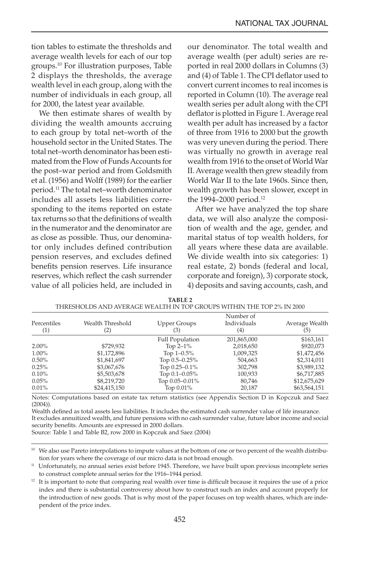tion tables to estimate the thresholds and average wealth levels for each of our top groups.10 For illustration purposes, Table 2 displays the thresholds, the average wealth level in each group, along with the number of individuals in each group, all for 2000, the latest year available.

We then estimate shares of wealth by dividing the wealth amounts accruing to each group by total net–worth of the household sector in the United States. The total net–worth denominator has been estimated from the Flow of Funds Accounts for the post–war period and from Goldsmith et al. (1956) and Wolff (1989) for the earlier period.11 The total net–worth denominator includes all assets less liabilities corresponding to the items reported on estate tax returns so that the definitions of wealth in the numerator and the denominator are as close as possible. Thus, our denominator only includes defined contribution pension reserves, and excludes defined benefits pension reserves. Life insurance reserves, which reflect the cash surrender value of all policies held, are included in our denominator. The total wealth and average wealth (per adult) series are reported in real 2000 dollars in Columns (3) and (4) of Table 1. The CPI deflator used to convert current incomes to real incomes is reported in Column (10). The average real wealth series per adult along with the CPI deflator is plotted in Figure 1. Average real wealth per adult has increased by a factor of three from 1916 to 2000 but the growth was very uneven during the period. There was virtually no growth in average real wealth from 1916 to the onset of World War II. Average wealth then grew steadily from World War II to the late 1960s. Since then, wealth growth has been slower, except in the 1994–2000 period.<sup>12</sup>

After we have analyzed the top share data, we will also analyze the composition of wealth and the age, gender, and marital status of top wealth holders, for all years where these data are available. We divide wealth into six categories: 1) real estate, 2) bonds (federal and local, corporate and foreign), 3) corporate stock, 4) deposits and saving accounts, cash, and

| Percentiles<br>$^{(1)}$ | Wealth Threshold<br>(2) | <b>Upper Groups</b><br>(3) | Number of<br>Individuals<br>(4) | Average Wealth<br>(5) |
|-------------------------|-------------------------|----------------------------|---------------------------------|-----------------------|
|                         |                         | <b>Full Population</b>     | 201,865,000                     | \$163,161             |
| $2.00\%$                | \$729,932               | Top $2-1\%$                | 2,018,650                       | \$920,073             |
| 1.00%                   | \$1,172,896             | Top $1-0.5\%$              | 1,009,325                       | \$1,472,456           |
| $0.50\%$                | \$1,841,697             | Top $0.5 - 0.25\%$         | 504,663                         | \$2,314,011           |
| 0.25%                   | \$3,067,676             | Top 0.25-0.1%              | 302,798                         | \$3,989,132           |
| 0.10%                   | \$5,503,678             | Top $0.1 - 0.05\%$         | 100,933                         | \$6,717,885           |
| $0.05\%$                | \$8,219,720             | Top $0.05 - 0.01\%$        | 80,746                          | \$12,675,629          |
| 0.01%                   | \$24,415,150            | Top $0.01\%$               | 20,187                          | \$63,564,151          |

| TABLE <sub>2</sub>                                                    |
|-----------------------------------------------------------------------|
| THRESHOLDS AND AVERAGE WEALTH IN TOP GROUPS WITHIN THE TOP 2% IN 2000 |

Notes: Computations based on estate tax return statistics (see Appendix Section D in Kopczuk and Saez (2004)).

Wealth defined as total assets less liabilities. It includes the estimated cash surrender value of life insurance. It excludes annuitized wealth, and future pensions with no cash surrender value, future labor income and social security benefits. Amounts are expressed in 2000 dollars.

Source: Table 1 and Table B2, row 2000 in Kopczuk and Saez (2004)

<sup>&</sup>lt;sup>10</sup> We also use Pareto interpolations to impute values at the bottom of one or two percent of the wealth distribution for years where the coverage of our micro data is not broad enough.

<sup>&</sup>lt;sup>11</sup> Unfortunately, no annual series exist before 1945. Therefore, we have built upon previous incomplete series to construct complete annual series for the 1916–1944 period.

<sup>&</sup>lt;sup>12</sup> It is important to note that comparing real wealth over time is difficult because it requires the use of a price index and there is substantial controversy about how to construct such an index and account properly for the introduction of new goods. That is why most of the paper focuses on top wealth shares, which are independent of the price index.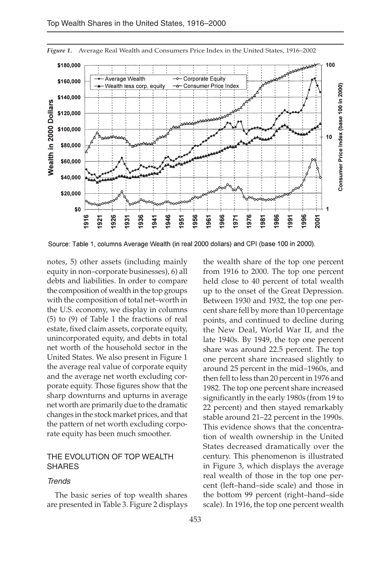

*Figure 1.* Average Real Wealth and Consumers Price Index in the United States, 1916–2002

Source: Table 1, columns Average Wealth (in real 2000 dollars) and CPI (base 100 in 2000).

notes, 5) other assets (including mainly equity in non–corporate businesses), 6) all debts and liabilities. In order to compare the composition of wealth in the top groups with the composition of total net–worth in the U.S. economy, we display in columns (5) to (9) of Table 1 the fractions of real estate, fixed claim assets, corporate equity, unincorporated equity, and debts in total net worth of the household sector in the United States. We also present in Figure 1 the average real value of corporate equity and the average net worth excluding corporate equity. Those figures show that the sharp downturns and upturns in average net worth are primarily due to the dramatic changes in the stock market prices, and that the pattern of net worth excluding corporate equity has been much smoother.

## THE EVOLUTION OF TOP WEALTH SHARES

#### **Trends**

The basic series of top wealth shares are presented in Table 3. Figure 2 displays

the wealth share of the top one percent from 1916 to 2000. The top one percent held close to 40 percent of total wealth up to the onset of the Great Depression. Between 1930 and 1932, the top one percent share fell by more than 10 percentage points, and continued to decline during the New Deal, World War II, and the late 1940s. By 1949, the top one percent share was around 22.5 percent. The top one percent share increased slightly to around 25 percent in the mid–1960s, and then fell to less than 20 percent in 1976 and 1982. The top one percent share increased significantly in the early 1980s (from 19 to 22 percent) and then stayed remarkably stable around 21–22 percent in the 1990s. This evidence shows that the concentration of wealth ownership in the United States decreased dramatically over the century. This phenomenon is illustrated in Figure 3, which displays the average real wealth of those in the top one percent (left–hand–side scale) and those in the bottom 99 percent (right–hand–side scale). In 1916, the top one percent wealth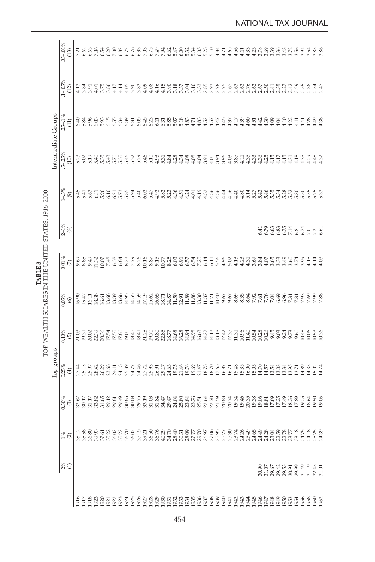|                                                   |                    | $05 - .01\%$<br>(13)                | 7.21  | 6.62                            | 6.63  | 7.06  | 6.54  | 6.20  | 7.00                    | 6.82           | 6.72                    | 6.76  | 6.33  | 7.03           | 6.75                    | 7.49           | 7.94                                                   |                |                           |                |                                                                |       |                |                  |                                                                                |      |                     |      | $-4.58$<br>$-4.73$                    |      |                |       |                         |      |       | 888884888888888888888                                              |                | 3.94  | 3.54  | 3.86                                                                    |  |
|---------------------------------------------------|--------------------|-------------------------------------|-------|---------------------------------|-------|-------|-------|-------|-------------------------|----------------|-------------------------|-------|-------|----------------|-------------------------|----------------|--------------------------------------------------------|----------------|---------------------------|----------------|----------------------------------------------------------------|-------|----------------|------------------|--------------------------------------------------------------------------------|------|---------------------|------|---------------------------------------|------|----------------|-------|-------------------------|------|-------|--------------------------------------------------------------------|----------------|-------|-------|-------------------------------------------------------------------------|--|
|                                                   |                    | $1 - .05\%$<br>(12)                 |       | $4.13$<br>3.84                  | 3.91  | 4.01  | 3.75  |       | 4.17                    | 4.14           | 4.05                    | 3.90  | 3.82  | 4.09           | 4.08                    | 4.16           | 4.15                                                   |                |                           |                |                                                                |       |                |                  |                                                                                |      |                     |      |                                       |      |                |       |                         |      |       |                                                                    |                |       |       |                                                                         |  |
|                                                   |                    | $25 - 1\%$<br>$\left(11\right)$     |       | 유 요 있<br>연주 있                   |       | 6.03  | 5.93  | 6.15  | 6.55                    | 6.34           | 6.39                    | 6.31  | 6.05  | 6.45           | 6.23                    | 6.11           |                                                        |                |                           |                | 222222222222<br>22222222222                                    |       |                |                  |                                                                                |      | 4.55<br>4.57<br>4.4 |      | 4.39                                  | 4.60 |                |       | 도 다 유 8<br>4 4 4 4      | 4.04 | 4.10  | $^{4.22}$                                                          | 4.11           | 4.41  | 1.28  | 4.38<br>4.38                                                            |  |
|                                                   | ntermediate Groups | $.5 - .25\%$<br>(10)                |       | ន្លួនមន្ត្រី<br>ដូច្នេះ មន្ត្រី |       |       |       | 5.43  | 5.70                    | 5.35           | 5.46                    |       | 5.29  | 5.46           | 5.10                    | 4.93           | 5.31                                                   |                |                           |                | 35 25 36 36<br>4 4 4 4 4                                       |       | $4.04$<br>3.91 |                  | 53559277999999777757                                                           |      |                     |      |                                       |      |                |       |                         |      |       |                                                                    | 4.35           |       | 4.29  | $4.32$<br>$4.32$                                                        |  |
|                                                   |                    | $1 - 5\%$<br>$\circledcirc$         |       | 5.45<br>5.41                    | 5.63  | 6.11  | 5.96  | 6.10  | 6.21                    |                | 5.85<br>5.94            |       | 5.40  | 6.02           | 5.47                    | 4.92           | 5.82                                                   |                |                           |                | compartication<br>Compartication                               |       |                | $4.36$<br>$4.36$ |                                                                                |      |                     |      |                                       |      |                |       |                         |      |       | 4 5 5 6 7 7 9 7 9 8 7 8 9 9 9 9<br>4 7 9 9 9 7 9 9 9 9 9 9 9 9 9 9 |                |       |       | 55<br>553                                                               |  |
|                                                   |                    | $2 - 1\%$<br>$_{\text{\tiny{(8)}}}$ |       |                                 |       |       |       |       |                         |                |                         |       |       |                |                         |                |                                                        |                |                           |                |                                                                |       |                |                  |                                                                                |      |                     |      |                                       |      |                |       |                         |      |       |                                                                    |                |       |       | FRGSKISKERE                                                             |  |
| TABLE <sub>3</sub>                                |                    | $0.01\%$<br>$\odot$                 |       | 9.85<br>8.85                    | 9.49  | 1.32  |       |       | 0.4888388828855         |                |                         |       |       |                |                         |                |                                                        |                | 8.35<br>6.95              |                | 5383<br>5383                                                   |       |                |                  | H 2 3 3 4 5 5 5 3 5 5 6 5 5 6 5 7 8 7<br>1 5 6 7 5 7 5 7 7 8 7 8 7 9 7 9 7 9 7 |      |                     |      |                                       |      |                |       |                         |      |       |                                                                    |                |       | 4.15  | $4.14$<br>$4.03$                                                        |  |
|                                                   |                    | 0.05%<br>$\circledcirc$             | 16.90 | 15.47                           | 16.11 | 18.38 |       |       | 5888558<br>1993111      |                |                         |       |       |                | 17.19<br>15.62<br>16.65 |                | 18.71                                                  |                | $14.87$<br>11.50<br>12.91 |                | $\begin{array}{c} 8880 \\ 11121 \\ 11111 \\ 11111 \end{array}$ |       |                |                  |                                                                                | 9.67 | 9.67                | 8.69 | 8.35                                  |      |                |       | 22523<br>22523          |      | 6.96  | 7.31                                                               | 7.31           |       |       | <b>882</b><br>583<br>583                                                |  |
| TOP WEALTH SHARES IN THE UNITED STATES, 1916-2000 |                    | 0.10%<br>$\odot$                    |       | 21.03<br>19.31                  | 20.02 |       |       |       | 22<br>2222<br>22222     |                |                         | 18.45 | 18.41 | 21.28          |                         |                | $\begin{array}{c} 20.80 \\ 21.87 \\ 18.77 \end{array}$ |                | 14.68                     | 16.28<br>14.94 |                                                                | 14.98 | 16.63<br>14.22 |                  | 음음 앞 % 음<br><u>금</u> 음 앞 음음<br>금음 달 달 급                                        |      |                     |      | $9.9788893$<br>$9.978893$<br>$9.9999$ |      |                |       |                         |      | 9.24  | 9.73                                                               | 9.60           | 10.48 |       | 0.06<br>10.36<br>10.1                                                   |  |
|                                                   | lop groups         | 0.25%<br>$\tag{4}$                  |       | 27.44<br>25.57<br>25.97         |       | 28.42 | 26.29 | 23.68 | 24.11                   | 24.13<br>25.39 |                         | 24.77 | 24.46 | 27.72          | 25.93<br>26.91<br>29.17 |                |                                                        | 24.63<br>19.75 |                           |                |                                                                |       |                |                  | $4884788827$<br>$79977888727$                                                  |      |                     |      | 15.35<br>15.30<br>16.00               |      | 15.05<br>14.70 |       | 14.54<br>19.54<br>19.08 |      | 13.34 | 13.95                                                              |                | 14.89 |       | 14.5<br>15.674<br>14.74                                                 |  |
|                                                   |                    | $0.50\%$<br>$\odot$                 |       | 32.67<br>30.17                  | 31.17 | 33.82 | 31.65 |       | 29.12<br>29.81<br>29.49 |                | 30.85<br>30.08<br>29.75 |       |       | 33.19          | 31.03                   | 31.84          | 34.47                                                  | 29.47          |                           |                |                                                                |       |                |                  |                                                                                |      |                     |      |                                       |      |                |       |                         |      |       | 18.26                                                              |                | 19.25 | 18.64 | 19.56<br>19.06                                                          |  |
|                                                   |                    | $1\%$<br>$\widehat{\alpha}$         |       | $28888$<br>$8888$               |       |       | 37.61 | 35.22 | 36.02                   | 35.22          | $36.7036.0235.15$       |       |       | 39.21<br>36.50 |                         | 36.76<br>40.29 |                                                        |                | 34.70<br>28.40<br>30.31   |                | $\frac{28.09}{27.77}$                                          |       | 29.70<br>26.97 |                  | ទ្រន្ត<br>និង<br>មិនដូច                                                        |      |                     |      | 24.26<br>25.49                        |      | 24.65          | 24.49 | 24.28                   |      |       | ងនិង<br>មាននិង<br>មាន                                              | 23.18<br>24.75 |       | 24.18 | 25.25                                                                   |  |
|                                                   |                    | 2%<br>$\ominus$                     |       |                                 |       |       |       |       |                         |                |                         |       |       |                |                         |                |                                                        |                |                           |                |                                                                |       |                |                  |                                                                                |      |                     |      |                                       |      |                |       |                         |      |       |                                                                    |                |       |       | ទី ៦ ៤ ជុំ ជុំ ឆ្នាំ គូ ទូ ទូ ១ ជុំ ជុំ<br>ទី ឆ្នាំ ង ស ស ន ស ដ ដ ន ង ដ |  |
|                                                   |                    |                                     | 1916  | 1917                            | 1918  |       |       |       |                         |                |                         |       |       |                |                         |                |                                                        |                |                           |                |                                                                |       |                |                  |                                                                                |      |                     |      |                                       |      |                |       |                         |      |       |                                                                    |                |       |       |                                                                         |  |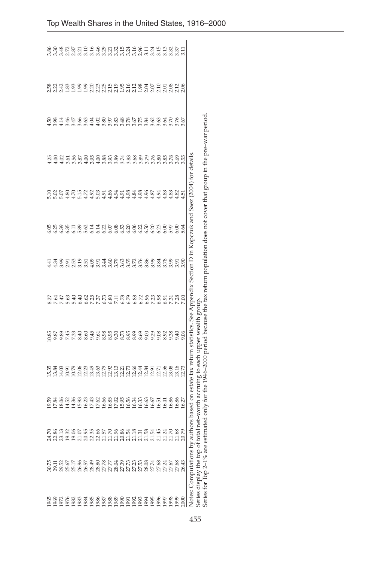|      |                                                                                                          |                                                                                                                    | 9.59                         | 5.35                           | 0.85                                         | Ş                                                                                                                                    | ਚ੍ਰ  | 6.05   | $\frac{10}{2}$    | ģ                                                                                                                  | Ř            | 2.58                                                                     | 3.86               |
|------|----------------------------------------------------------------------------------------------------------|--------------------------------------------------------------------------------------------------------------------|------------------------------|--------------------------------|----------------------------------------------|--------------------------------------------------------------------------------------------------------------------------------------|------|--------|-------------------|--------------------------------------------------------------------------------------------------------------------|--------------|--------------------------------------------------------------------------|--------------------|
|      |                                                                                                          |                                                                                                                    | 7.84                         | 13.84                          | 9.87                                         | 7.64                                                                                                                                 | ਕੁੱ  |        | $\frac{20}{5.07}$ | 00.4                                                                                                               | 3.98         |                                                                          | 3.30               |
|      |                                                                                                          |                                                                                                                    | 8.06                         | 4.03                           | 9.89                                         | 7.47                                                                                                                                 | 3.99 | 6.39   |                   | 4.02                                                                                                               | $\Xi$        | 213<br>213<br>213                                                        | 3.48               |
|      |                                                                                                          |                                                                                                                    | 4.52                         | $\frac{10.91}{10.79}$          | 7.45                                         | 5.63                                                                                                                                 | 2.91 | 6.35   | 4.80              | 3.61                                                                                                               | 3.46         |                                                                          | 2.72<br>2.87       |
|      |                                                                                                          |                                                                                                                    | 4.36                         |                                | 7.33                                         | 5.40                                                                                                                                 | 2.53 | 6.11   | $\frac{2}{10}$    | 3.56                                                                                                               | 3.47         | $\frac{3}{2}$                                                            |                    |
|      |                                                                                                          |                                                                                                                    | 5.93                         | g n a g n g n<br>d d d d d d d | 8.40                                         | <b>GE.S</b>                                                                                                                          | 3.51 | 5.89   |                   | 3.87                                                                                                               | 3.66         | 1.99                                                                     | 3.21               |
|      |                                                                                                          |                                                                                                                    | 1933<br>1934<br>1945<br>1945 |                                | 8.60                                         | 6.62                                                                                                                                 |      | 5.62   | 4.72              | 4.00                                                                                                               | 3.63         | $\frac{1}{2}$                                                            | 3.10               |
|      |                                                                                                          |                                                                                                                    |                              |                                | 9.45                                         | 7.25                                                                                                                                 | 4.09 | 6.14   | 1.92              | 3.95                                                                                                               | 4.04         |                                                                          | 3.16               |
|      |                                                                                                          |                                                                                                                    |                              |                                | 9.61                                         | 7.37                                                                                                                                 | 3.91 | 6.14   | 5.03              | 4.00                                                                                                               | 4.02         |                                                                          | 3.46               |
|      |                                                                                                          |                                                                                                                    |                              |                                | 8.98                                         | 5.73                                                                                                                                 | 3.44 | 6.22   | 4.91              | 3.88                                                                                                               | 3.80         |                                                                          |                    |
|      |                                                                                                          |                                                                                                                    |                              |                                | 8.95                                         | 5.80                                                                                                                                 | 3.60 | $6.07$ | 4.86              | 3.93                                                                                                               | 3.97         |                                                                          | ನಿ ಸ್ಪನ್ನ<br>ನ ಸ ಸ |
|      |                                                                                                          |                                                                                                                    |                              |                                |                                              | 7.11                                                                                                                                 | 3.79 | 6.08   | 1.94              | 3.89                                                                                                               | 3.83         |                                                                          |                    |
|      |                                                                                                          |                                                                                                                    |                              |                                | 8.73                                         | 5.78                                                                                                                                 | 3.63 | 6.53   | <b>i</b> σ        | 3.74                                                                                                               | 3.48         |                                                                          | 3.15               |
|      |                                                                                                          |                                                                                                                    | 15.56<br>16.56               | 11284<br>11111                 | 8.95                                         | 6.79                                                                                                                                 | 3.55 | 6.20   | 1.98              | 3.83                                                                                                               | 3.78         |                                                                          | 3.24               |
|      |                                                                                                          |                                                                                                                    |                              |                                | 8.99                                         | 5.88                                                                                                                                 | 3.72 | 6.06   | 1.84              | 3.68                                                                                                               | 3.67<br>3.75 |                                                                          | 3.16               |
|      |                                                                                                          |                                                                                                                    | 16.33<br>16.33<br>16.63      |                                | 8.69                                         | 5.72                                                                                                                                 |      | 6.22   | 1.98              |                                                                                                                    |              |                                                                          | 2.96               |
|      |                                                                                                          |                                                                                                                    |                              | 12.84                          | 9.00                                         | 6.96                                                                                                                                 | 3.86 | 6.50   | 4.96              | 3.89                                                                                                               | 3.84         |                                                                          | $\frac{1}{2}$      |
|      |                                                                                                          |                                                                                                                    |                              | 12.91                          | 9.29<br>9.08                                 | 7.23                                                                                                                                 | 3.99 | 6.20   | S <sub>2</sub>    | 3.76                                                                                                               |              |                                                                          | 넢                  |
|      | ន្តដូចមន្ត្រី ទន្តន្តន្តដូចន្តដូចន្តដូច<br>ទន្តន្ត្រី ន្តន្ត្រីន្តន្ត្រី ន្តន្ត្រី ន្តន្ត្រី ន្តន្ត្រី ន | ក និដ្ឋ ដូន B មិន មិន B មិន និង ដូន មិន មិន ដូន មិន មិន<br>មិន ដូន មិន មិន មិន មិន មិន មិន ដូន មិន មិន មិន មិន មិន | 6.67                         | 2.71                           |                                              | 5.98                                                                                                                                 | 3.84 | 6.23   | $-94$             | 3.80                                                                                                               | 3.62<br>3.63 | ស្តី ដូងមី ដូងមី ដូងមី ដូងមី ដូច និ<br>ប្តី ដូងមី ដូច ដូច ដូច ដូច ដូច និ |                    |
|      |                                                                                                          |                                                                                                                    | 6.41                         | 12.56                          | 8.92                                         | 5.91                                                                                                                                 | 3.78 |        | S,                | 3.85                                                                                                               | 3.64         |                                                                          | 3.13               |
|      |                                                                                                          |                                                                                                                    | 6.86                         | 3.08                           | 9.38                                         | 731                                                                                                                                  | 3.99 | 5.97   | $\frac{83}{2}$    | 3.78                                                                                                               | 3.70         |                                                                          |                    |
| 1999 | 27.68                                                                                                    |                                                                                                                    | 6.86                         | 13.16                          | 9.40                                         | 28                                                                                                                                   | 3.91 | 6.00   | S,                | 3.69                                                                                                               | 3.76         | 2.12<br>2.06                                                             | 57                 |
| 2000 | 26.43                                                                                                    |                                                                                                                    | 6.27                         | 12.73                          | 9.06                                         | 7.00                                                                                                                                 | 3.90 | 5.64   | 4.51              | 3.55                                                                                                               | 3.67         |                                                                          | 3.11               |
|      |                                                                                                          |                                                                                                                    |                              |                                |                                              | Notes: Computations by authors based on estate tax return statistics. See Appendix Section D in Kopczuk and Saez (2004) for details. |      |        |                   |                                                                                                                    |              |                                                                          |                    |
|      | Series display the top of total r                                                                        |                                                                                                                    |                              |                                | et-worth accruing to each upper wealth group |                                                                                                                                      |      |        |                   |                                                                                                                    |              |                                                                          |                    |
|      | Series for Top 2-1% are estima                                                                           |                                                                                                                    |                              |                                |                                              |                                                                                                                                      |      |        |                   | ed only for the 1946–2000 period because the tax return population does not cover that group in the pre-war period |              |                                                                          |                    |

Top Wealth Shares in the United States, 1916–2000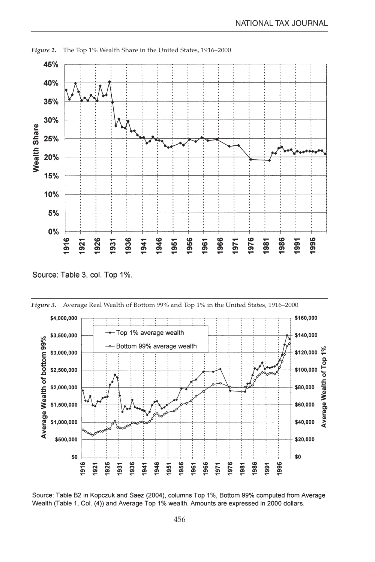

*Figure 2.* The Top 1% Wealth Share in the United States, 1916–2000

Source: Table 3, col. Top 1%.



Source: Table B2 in Kopczuk and Saez (2004), columns Top 1%, Bottom 99% computed from Average Wealth (Table 1, Col. (4)) and Average Top 1% wealth. Amounts are expressed in 2000 dollars.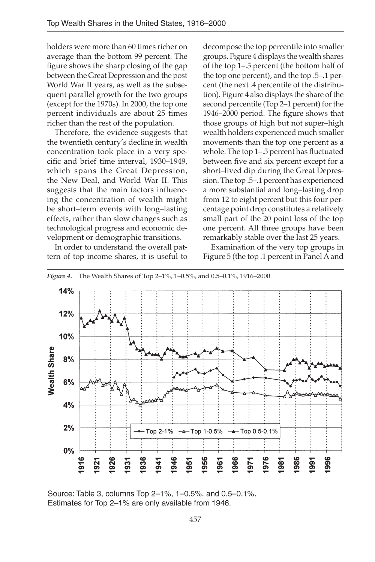holders were more than 60 times richer on average than the bottom 99 percent. The figure shows the sharp closing of the gap between the Great Depression and the post World War II years, as well as the subsequent parallel growth for the two groups (except for the 1970s). In 2000, the top one percent individuals are about 25 times richer than the rest of the population.

Therefore, the evidence suggests that the twentieth century's decline in wealth concentration took place in a very specific and brief time interval, 1930–1949, which spans the Great Depression, the New Deal, and World War II. This suggests that the main factors influencing the concentration of wealth might be short–term events with long–lasting effects, rather than slow changes such as technological progress and economic development or demographic transitions.

In order to understand the overall pattern of top income shares, it is useful to decompose the top percentile into smaller groups. Figure 4 displays the wealth shares of the top 1–.5 percent (the bottom half of the top one percent), and the top .5–.1 percent (the next .4 percentile of the distribution). Figure 4 also displays the share of the second percentile (Top 2–1 percent) for the 1946–2000 period. The figure shows that those groups of high but not super–high wealth holders experienced much smaller movements than the top one percent as a whole. The top 1–.5 percent has fluctuated between five and six percent except for a short–lived dip during the Great Depression. The top .5–.1 percent has experienced a more substantial and long–lasting drop from 12 to eight percent but this four percentage point drop constitutes a relatively small part of the 20 point loss of the top one percent. All three groups have been remarkably stable over the last 25 years.

Examination of the very top groups in Figure 5 (the top .1 percent in Panel A and



Source: Table 3, columns Top 2-1%, 1-0.5%, and 0.5-0.1%. Estimates for Top 2-1% are only available from 1946.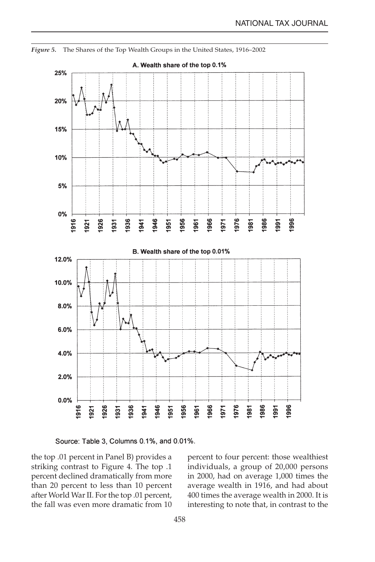

*Figure 5.* The Shares of the Top Wealth Groups in the United States, 1916–2002



the top .01 percent in Panel B) provides a striking contrast to Figure 4. The top .1 percent declined dramatically from more than 20 percent to less than 10 percent after World War II. For the top .01 percent, the fall was even more dramatic from 10

percent to four percent: those wealthiest individuals, a group of 20,000 persons in 2000, had on average 1,000 times the average wealth in 1916, and had about 400 times the average wealth in 2000. It is interesting to note that, in contrast to the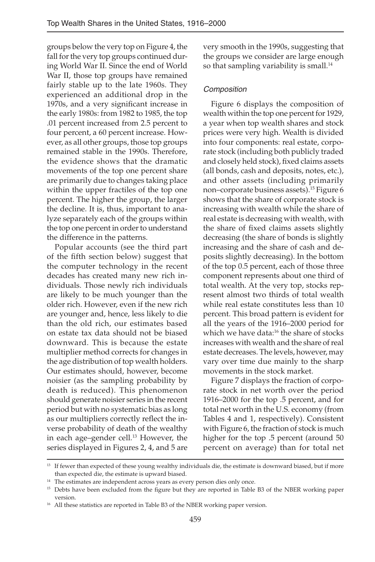groups below the very top on Figure 4, the fall for the very top groups continued during World War II. Since the end of World War II, those top groups have remained fairly stable up to the late 1960s. They experienced an additional drop in the 1970s, and a very significant increase in the early 1980s: from 1982 to 1985, the top .01 percent increased from 2.5 percent to four percent, a 60 percent increase. However, as all other groups, those top groups remained stable in the 1990s. Therefore, the evidence shows that the dramatic movements of the top one percent share are primarily due to changes taking place within the upper fractiles of the top one percent. The higher the group, the larger the decline. It is, thus, important to analyze separately each of the groups within the top one percent in order to understand the difference in the patterns.

Popular accounts (see the third part of the fifth section below) suggest that the computer technology in the recent decades has created many new rich individuals. Those newly rich individuals are likely to be much younger than the older rich. However, even if the new rich are younger and, hence, less likely to die than the old rich, our estimates based on estate tax data should not be biased downward. This is because the estate multiplier method corrects for changes in the age distribution of top wealth holders. Our estimates should, however, become noisier (as the sampling probability by death is reduced). This phenomenon should generate noisier series in the recent period but with no systematic bias as long as our multipliers correctly reflect the inverse probability of death of the wealthy in each age–gender cell.<sup>13</sup> However, the series displayed in Figures 2, 4, and 5 are

very smooth in the 1990s, suggesting that the groups we consider are large enough so that sampling variability is small.<sup>14</sup>

# Composition

Figure 6 displays the composition of wealth within the top one percent for 1929, a year when top wealth shares and stock prices were very high. Wealth is divided into four components: real estate, corporate stock (including both publicly traded and closely held stock), fixed claims assets (all bonds, cash and deposits, notes, etc.), and other assets (including primarily non–corporate business assets).<sup>15</sup> Figure 6 shows that the share of corporate stock is increasing with wealth while the share of real estate is decreasing with wealth, with the share of fixed claims assets slightly decreasing (the share of bonds is slightly increasing and the share of cash and deposits slightly decreasing). In the bottom of the top 0.5 percent, each of those three component represents about one third of total wealth. At the very top, stocks represent almost two thirds of total wealth while real estate constitutes less than 10 percent. This broad pattern is evident for all the years of the 1916–2000 period for which we have data:<sup>16</sup> the share of stocks increases with wealth and the share of real estate decreases. The levels, however, may vary over time due mainly to the sharp movements in the stock market.

Figure 7 displays the fraction of corporate stock in net worth over the period 1916–2000 for the top .5 percent, and for total net worth in the U.S. economy (from Tables 4 and 1, respectively). Consistent with Figure 6, the fraction of stock is much higher for the top .5 percent (around 50 percent on average) than for total net

<sup>&</sup>lt;sup>13</sup> If fewer than expected of these young wealthy individuals die, the estimate is downward biased, but if more than expected die, the estimate is upward biased.

<sup>&</sup>lt;sup>14</sup> The estimates are independent across years as every person dies only once.

<sup>&</sup>lt;sup>15</sup> Debts have been excluded from the figure but they are reported in Table B3 of the NBER working paper version.

<sup>&</sup>lt;sup>16</sup> All these statistics are reported in Table B3 of the NBER working paper version.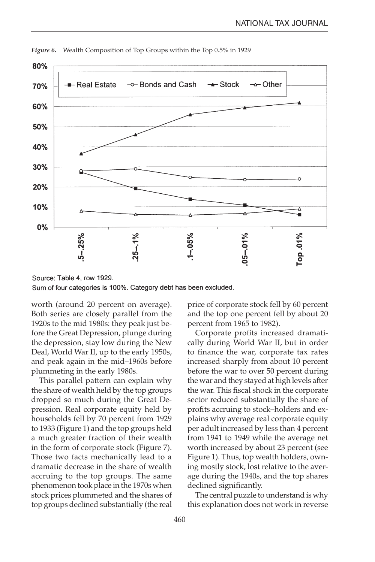

*Figure 6.* Wealth Composition of Top Groups within the Top 0.5% in 1929

Source: Table 4, row 1929. Sum of four categories is 100%. Category debt has been excluded.

worth (around 20 percent on average). Both series are closely parallel from the 1920s to the mid 1980s: they peak just before the Great Depression, plunge during the depression, stay low during the New Deal, World War II, up to the early 1950s, and peak again in the mid–1960s before plummeting in the early 1980s.

This parallel pattern can explain why the share of wealth held by the top groups dropped so much during the Great Depression. Real corporate equity held by households fell by 70 percent from 1929 to 1933 (Figure 1) and the top groups held a much greater fraction of their wealth in the form of corporate stock (Figure 7). Those two facts mechanically lead to a dramatic decrease in the share of wealth accruing to the top groups. The same phenomenon took place in the 1970s when stock prices plummeted and the shares of top groups declined substantially (the real price of corporate stock fell by 60 percent and the top one percent fell by about 20 percent from 1965 to 1982).

Corporate profits increased dramatically during World War II, but in order to finance the war, corporate tax rates increased sharply from about 10 percent before the war to over 50 percent during the war and they stayed at high levels after the war. This fiscal shock in the corporate sector reduced substantially the share of profits accruing to stock–holders and explains why average real corporate equity per adult increased by less than 4 percent from 1941 to 1949 while the average net worth increased by about 23 percent (see Figure 1). Thus, top wealth holders, owning mostly stock, lost relative to the average during the 1940s, and the top shares declined significantly.

The central puzzle to understand is why this explanation does not work in reverse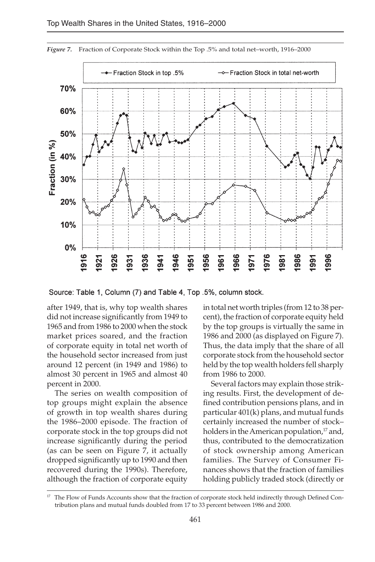

*Figure 7.* Fraction of Corporate Stock within the Top .5% and total net–worth, 1916–2000

Source: Table 1, Column (7) and Table 4, Top .5%, column stock.

after 1949, that is, why top wealth shares did not increase significantly from 1949 to 1965 and from 1986 to 2000 when the stock market prices soared, and the fraction of corporate equity in total net worth of the household sector increased from just around 12 percent (in 1949 and 1986) to almost 30 percent in 1965 and almost 40 percent in 2000.

The series on wealth composition of top groups might explain the absence of growth in top wealth shares during the 1986–2000 episode. The fraction of corporate stock in the top groups did not increase significantly during the period (as can be seen on Figure 7, it actually dropped significantly up to 1990 and then recovered during the 1990s). Therefore, although the fraction of corporate equity

in total net worth triples (from 12 to 38 percent), the fraction of corporate equity held by the top groups is virtually the same in 1986 and 2000 (as displayed on Figure 7). Thus, the data imply that the share of all corporate stock from the household sector held by the top wealth holders fell sharply from 1986 to 2000.

Several factors may explain those striking results. First, the development of defined contribution pensions plans, and in particular 401(k) plans, and mutual funds certainly increased the number of stock– holders in the American population,<sup>17</sup> and, thus, contributed to the democratization of stock ownership among American families. The Survey of Consumer Finances shows that the fraction of families holding publicly traded stock (directly or

<sup>&</sup>lt;sup>17</sup> The Flow of Funds Accounts show that the fraction of corporate stock held indirectly through Defined Contribution plans and mutual funds doubled from 17 to 33 percent between 1986 and 2000.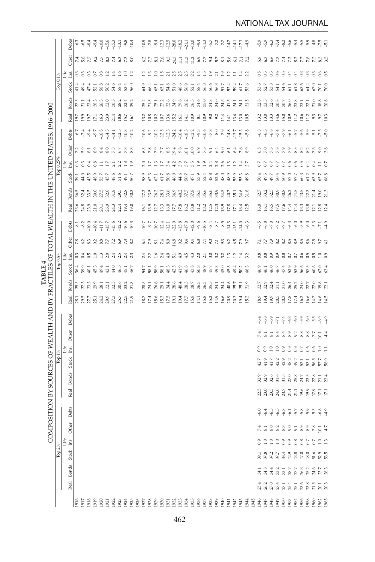|                                                                                                   |              | Debts                             | $-6.5$<br>$-6.3$                          | $-8.4$                            | $-9.4$                 | $-10.0$          | $-15.6$               | $-15.3$           | $-13.1$        | $-9.8$                                          | $-10.4$               | $-10.9$ | $-7.8$                  | $-9.4$                           | $-12.3$                 | $-12.5$                | $-28.0$                 | $-18.2$    | $-21.1$               | $-13.0$         | $-9.4$                 | $-11.3$                 | $-5.7$<br>$-7.2$       |                        | $-7.7$                 | $-14.7$               | $-14.1$                     | $-17.3$                             |        | $-5.9$                                      | $-5.9$                | $-6.3$                    | $-7.4$            | $-8.2$         |                       |                  | $6459$<br>$-999$      |                       | $-4.8$                 | $-7.5$<br>$-5.1$                                                |
|---------------------------------------------------------------------------------------------------|--------------|-----------------------------------|-------------------------------------------|-----------------------------------|------------------------|------------------|-----------------------|-------------------|----------------|-------------------------------------------------|-----------------------|---------|-------------------------|----------------------------------|-------------------------|------------------------|-------------------------|------------|-----------------------|-----------------|------------------------|-------------------------|------------------------|------------------------|------------------------|-----------------------|-----------------------------|-------------------------------------|--------|---------------------------------------------|-----------------------|---------------------------|-------------------|----------------|-----------------------|------------------|-----------------------|-----------------------|------------------------|-----------------------------------------------------------------|
|                                                                                                   |              | Other                             | 7.8727<br>2.8727                          |                                   |                        |                  | 8.3                   | 7.4               | 6.3            | 7.3                                             |                       |         | $6.2$ $7.7$ $8.1$       |                                  | 7.8                     | 9.3                    | 24.3                    | $\Xi$      | 11.3                  | 11.2            |                        |                         | 6.7<br>7.7<br>5.7      |                        | $\overline{81}$        | 5.6                   | $\overline{61}$             | 7.2                                 |        |                                             | 5.3<br>6.3            | 6.6                       | 73                | 7.4            |                       |                  |                       |                       |                        | 2278235                                                         |
|                                                                                                   | Top 0.1%     | Life<br>Ins.<br><b>Stock</b>      | ೦ ೦ ೦<br>41.4<br>49.4                     | 47.4                              | $\overline{c}$<br>52.1 | $_{0.8}$<br>58.8 | $\frac{1}{2}$<br>50.2 | $\vec{a}$<br>54.6 | $^{6}$<br>58.4 | $\frac{0}{1}$<br>53.4                           | $\frac{1}{2}$<br>56.0 | 64.9    | 66.4                    | $\tilde{=}$<br>65.1              | $\frac{15}{10}$<br>65.1 | $\overline{a}$<br>54.8 | 2.5<br>51.0             | 25<br>48.6 | $\frac{5}{2}$<br>56.9 | 22<br>52.1      | $\frac{4}{14}$<br>58.4 | $\frac{15}{11}$<br>56.3 | $\overline{1}$<br>50.6 | $\overline{z}$<br>56.3 | $\frac{9}{11}$<br>51.7 | $\frac{2}{1}$<br>52.4 | Ξ<br>59.4                   | $\frac{4}{2}$ $\frac{2}{2}$<br>61.7 | 53.6   | 30<br>53.6                                  | $\frac{5}{2}$<br>52.7 | $\frac{5}{2}$<br>53.3     | 66<br>54.1        | 3<br>54.6      | $\frac{4}{3}$<br>61.1 | $_{0.4}$<br>61.8 | $\frac{3}{2}$<br>63.6 | $\frac{3}{2}$<br>64.4 | $\mathbb{S}$<br>$67.0$ | $0.6$<br>0.5<br>70.1                                            |
|                                                                                                   |              | <b>Bonds</b>                      | $37.5$<br>31.1                            | 33.4                              | $30.3\,$               | 26.3             | $32.0\,$              | 30.5              | 28.2           | 32.4                                            | 29.2                  | 25.4    | 21.5                    | 25.1                             | 27.2                    | 32.6                   | 34.9                    | 39.8       | 36.2                  | 36.5            | 34.6                   | $35.0\,$                | 34.8                   | 34.0                   | 34.5                   | 41.5                  | $\overline{34.1}$           | 34.1                                | 31.5   | $\begin{array}{c} 32.8 \\ 33.5 \end{array}$ |                       | 32.6                      | $30.8\,$          | $30.7\,$       | 26.0                  | $_{23.8}$        | 23.1                  |                       | 21.0                   | $18.8\,$<br>20.8                                                |
|                                                                                                   |              | Real                              | 19.9<br>19.7                              | 19.7                              | 17.1                   | 16.3             | 23.9                  | 21.4              | 18.6           | 15.7                                            | 16.1                  | 13.2    | 10.8                    | 10.2                             | 10.7                    | 13.6                   | 15.2                    | 16.1       | 14.1                  | 10.9            | $\overline{81}$        | 10.9                    | 9.0                    | 9.2                    | 11.4                   | 14.1                  | 13.6                        | 13.0                                | 10.5   | 13.2                                        | 13.0                  | 13.3                      | 14.6              | 15.0           | 10.9                  | 11.2             | 10.6                  | 22.1<br>11.2          | 9.3                    | $9.7\,$<br>10.3                                                 |
|                                                                                                   |              |                                   | $-6.7$<br>$-7.4$                          | $-9.4$                            | $-9.7$                 | $-10.8$          | $-14.3$               | $-14.1$           | $-12.5$        | $-10.3$                                         | $-10.2$               | $-10.6$ | $-9.2$                  | $-10.2$                          | $-12.5$                 |                        | $-24.2$                 | $-16.4$    | $-18.3$               |                 | $-9.3$                 | $-10.6$                 | $-7.8$                 | $-8.0$                 | $-7.9$                 | $-14.8$               | $-13.7$                     | $-15.3$                             | $-5.8$ | $-6.3$                                      | $-6.5$                | $-6.8$                    | $-7.4$            | $-7.9$         | $-6.1$                | $-5.7$           | $-5.6$                | $-5.9$                | $\overline{5}$         | $-7.5$<br>$-5.0$                                                |
|                                                                                                   |              | Debts                             |                                           |                                   |                        |                  |                       |                   |                |                                                 |                       |         |                         |                                  |                         | $-123$                 |                         |            |                       | $-12.2$         |                        |                         |                        |                        |                        |                       |                             |                                     |        |                                             |                       |                           |                   |                |                       |                  |                       |                       |                        |                                                                 |
|                                                                                                   |              | Other<br>Life<br>Ins.             | 5.9<br>3                                  | $\overline{81}$<br>$3\frac{3}{6}$ | 8.9<br>0.8             | 8.4<br>$\Xi$     | 8.0<br>$17$           | 73<br>21          | 67<br>2.2      | 73<br>$\begin{array}{c} 2.8 \\ 1.9 \end{array}$ | 33                    | 3       | 7.8<br>2.5              | $\mathbf{7.9}$<br>$\mathbf{r}_3$ | 77<br>$\overline{z}$    | 8.5<br>3.4             | 19.4<br>4.2             | 9.8<br>3.9 | 10.1<br>3.7           | $10.0\,$<br>3.5 | $6.9\,$<br>1.9         | 7.5<br>1.9              | $\overline{5}$<br>2.4  | 64<br>2.8              | 60<br>2.6              | 51<br>13              | $\ddot{5}$<br>$\frac{1}{2}$ | 7.6<br>$1.4$<br>2.7                 |        | 59                                          | $\overline{2}$<br>5 S | 73<br>C)                  | 7.8<br>0.7        | 7.9<br>$0.7\,$ | 7.9<br>0.6            | 8.5<br>0.6       | 8.2<br>0.5            | 8.2<br>0.4            | 73<br>0.4              | 9.8<br>$\frac{11}{20}$                                          |
|                                                                                                   | lop 0.25     | Stock                             | 44.0<br>39.7                              | 43.5                              | 48.9                   | 53.7             | 45.7                  | 48.6              | 51.6           | 49.1                                            | 50.7                  | 58.9    | 62.3                    | 62.1                             | 61.7                    | 50.8                   | 46.0                    | 44.6       | 50.7                  | 47.1            | 53.9                   | 52.4                    | 48.8                   | 52.6                   | 48.0                   | 48.9                  | 53.9                        | 55.3                                | 49.8   |                                             | 50.4<br>49.5          | 49.7                      | 50.4              | 50.9           | 57.0                  | 57.7             | 60.3                  | 61.2                  | 63.9                   | 65.7<br>66.8                                                    |
|                                                                                                   |              | <b>Bonds</b>                      | 36.5                                      | $32.4$<br>$33.5$                  | $30.0\,$               | $27.5\,$         | $32.0\,$              | $31.8\,$          | 29.5           | $32.8\,$                                        | 30.3                  |         | $27.2$<br>$23.5$        | 26.2                             | $28.1\,$                | 33.6                   | 36.9                    | 40.2       | $37.7\,$              | $37.8\,$        | 35.5                   | 35.6                    | $35.0\,$               | 33.9                   | 34.5                   | 40.7                  | 35.1                        | $34.6$                              | 31.8   | $32.7$<br>$33.2$                            |                       | 32.5                      | 30.9              | $30.8\,$       | 26.2                  | 24.5             | $23.5\,$              | $22.3\,$              | 21.4                   | $19.0\,$<br>21.3                                                |
|                                                                                                   |              | Real                              | 24.8<br>23.6                              | $_{23.9}$                         | $21.0\,$               | 20.1             | 26.9                  | 24.3              | $22.4\,$       | 19.4                                            | 19.0                  |         | $\frac{16.1}{13.9}$     | 12.7                             | 13.3                    | 16.0                   | $\frac{17.7}{17.8}$     |            | 16.2                  | $13.8\,$        | 11.2                   | 13.5                    |                        | 12.3                   | 13.9                   | 17.8                  | 17.1                        | 16.4<br>12.5                        |        | 16.0                                        | 16.1                  | 16.5                      | 17.5              | 17.6           | 14.4                  | 14.4             | 13.3                  | $13.8\,$              | 12.1                   | $\frac{12.8}{12.4}$                                             |
| COMPOSITION BY SOURCES OF WEALTH AND BY FRACTILES OF TOTAL WEALTH IN THE UNITED STATES, 1916–2000 |              | Debts                             | $-8.2$<br>နှ                              | $-10.0$                           | $-10.4$                | $-11.7$          | $-13.7$               | $-13.6$           | $-12.2$        | $-10.6$                                         | $-10.3$               | $-10.7$ | $-9.7$                  | $-10.7$                          | $-12.4$                 | $-12.1$                | $-22.0$                 | $-15.8$    | $-17.0$               | $-12.0$         | $-9.6$                 | $-10.5$                 | $-8.4$                 | $-8.7$                 | $-8.5$                 | $-14.3$               | $-13.1$                     | $-14.0$                             | $-6.3$ | $-6.5$                                      | $-6.8$                | $-7.0$                    | $-7.2$            | $-7.7$         | $-6.3$                | $-6.0$           | $-5.9$                | $-6.0$                | $-5.3$                 | 4.9<br>$\overline{7}1$                                          |
|                                                                                                   |              |                                   | 7.8<br>6.2                                | 3                                 | 9.2                    | 8.8              | 77                    | 72                | 6.9            | 7.3                                             |                       | 3       | 7.9                     |                                  | 7.4                     | 8.0                    |                         |            | 9.4                   | 9.4             | $6.8\,$                | 7.4                     | 9.0                    | π                      | 9.3                    | 62                    | 3                           | 7.9<br>9.7                          |        |                                             | 7.7                   | 7.9                       | $\frac{2}{3}$     | 82             | 8.5                   | 8.9              | 8.5                   | 8.6                   | 7.5                    | 56<br>$\frac{1}{4}$                                             |
|                                                                                                   |              | Other<br>$_{\rm{L}1\%}^{\rm{He}}$ | 335                                       |                                   | $_{\rm 1.0}$           | 13               | 2.0                   | 2.4               | 2.5            | 2.3                                             |                       |         | $2.4$<br>$2.2$<br>$1.6$ | $\overline{5}$                   |                         | 2.4                    | 16.8<br>$\overline{51}$ | 9.2<br>4.9 | 4.5                   | 43              | 2.0                    |                         | $\overline{2}$ .0      | 3.2                    | 32                     | $\mathbb{C}$          | $\frac{1}{2}$               | Ξ,                                  | 3.2    |                                             | 0.8                   | 0.9                       | $^{0.9}$          | $_{0.8}$       | $0.7\,$               | $0.7\,$          | $0.6$                 | $_{0.5}^{\circ}$      | 0.5                    | $1.0$<br>0.9                                                    |
|                                                                                                   | Top 0.5%     | <b>Stock</b>                      | 39.9<br>36.4                              | $-40.1$                           | 45.3                   | 49.4             | 42.1                  | 44.0              | 46.5           | 45.1                                            | 46.7                  | 54.7    | 58.1                    | 58.9                             | 58.1                    | 48.3                   | 42.5                    | 41.9       | 46.8                  | 43.8            | 50.3                   | 48.9                    | 45.7                   | 49.3                   | 45.0                   | 45.3                  | 49.4                        | 50.2                                | 46.3   | 46.9                                        | 46.1                  | 46.0                      | 46.7              | 47.4           | 52.9                  | 53.9             | 56.6                  | 57.5                  | 60.6                   | $62.0\,$<br>63.4                                                |
| TABLE <sub>4</sub>                                                                                |              | <b>Bonds</b>                      | 35.5<br>32.3                              | 33.3                              | $29.9\,$               | 28.1             | 32.1                  | 32.5              | 30.6           | 33.2                                            | 31.3                  | 28.5    | 24.1                    | 26.6                             | 29.1                    | 34.4                   | 38.6                    | 40.4       | 38.5                  | 38.7            | 36.3                   | 36.3                    | 35.5                   | 34.1                   | 34.4                   | 40.6                  | 35.7                        | 35.1                                | 31.9   | 32.7                                        | 32.9                  | 32.4                      | $\overline{3}$ .1 | 31.0           | 26.4                  | 25.2             | $24.0\,$              | $2.7\,$               | $22.0\,$               | $\boldsymbol{19.8}$<br>$\overline{21}$                          |
|                                                                                                   |              | Real                              | 3<br>8<br>8<br>8<br>8<br>8<br>8<br>3<br>3 |                                   |                        |                  | $29.9\,$              | $27.3\,$          | $25.7\,$       | $22.5$<br>$21.9$                                |                       |         | 18.7<br>17.4            | 15.6                             | 15.3                    |                        | $17.5\phantom{1}$       | 19.4       | $17.7\,$              | $15.8\,$        | $\overline{14}$        | 15.8                    | 15.2                   | 14.9                   | 16.6                   | 20.9                  | 20.3                        | 194<br>15.2                         |        | 18.9<br>19.4                                |                       | 19.9                      | $20.5$ $20.3$     |                | $17.8\,$              | $17.4\,$         | 16.2                  | 16.6                  | 14.7                   | 14.5<br>14.6                                                    |
|                                                                                                   |              | Debts                             |                                           |                                   |                        |                  |                       |                   |                |                                                 |                       |         |                         |                                  |                         |                        |                         |            |                       |                 |                        |                         |                        |                        |                        |                       |                             |                                     |        | $-6.4$                                      | $-6.8$                |                           |                   |                |                       |                  | $-5.9$                |                       | $-5.5$                 | $-6.9$<br>$-4.9$                                                |
|                                                                                                   |              |                                   |                                           |                                   |                        |                  |                       |                   |                |                                                 |                       |         |                         |                                  |                         |                        |                         |            |                       |                 |                        |                         |                        |                        |                        |                       |                             |                                     |        | 74                                          | $\overline{s}$        | $-6.9$<br>$\overline{81}$ | $-7.1$<br>8.4     | $-7.4$<br>8.4  | $-6.3$<br>8.9         | $-6.0$<br>9.2    | 8.8                   | $-6.0$<br>8.8         | 7.7                    | 4.4<br>10.1                                                     |
|                                                                                                   |              | Other<br>Life<br>Ins.             |                                           |                                   |                        |                  |                       |                   |                |                                                 |                       |         |                         |                                  |                         |                        |                         |            |                       |                 |                        |                         |                        |                        |                        |                       |                             |                                     |        | $^{0.9}$                                    | $\mathbf{e}$          | $_{\rm 1.0}$              | $\frac{0}{10}$    |                | $_{0.8}$              | $_{0.8}$         | $0.7\,$               | 0.6                   | 0.6                    | $_{\rm 1.0}$<br>Ξ                                               |
|                                                                                                   | $\mathbb{F}$ | <b>Stock</b>                      |                                           |                                   |                        |                  |                       |                   |                |                                                 |                       |         |                         |                                  |                         |                        |                         |            |                       |                 |                        |                         |                        |                        |                        |                       |                             |                                     |        | 42.7                                        | 41.9                  | 41.7                      | 42.2              | 42.9           | 48.2                  | 49.2             | 52.1                  | 53.1                  | 56.5                   | 57.7<br>58.9                                                    |
|                                                                                                   |              | <b>Bonds</b>                      |                                           |                                   |                        |                  |                       |                   |                |                                                 |                       |         |                         |                                  |                         |                        |                         |            |                       |                 |                        |                         |                        |                        |                        |                       |                             |                                     |        | $32.9$                                      | 32.9                  | 32.6                      | 31.6              | 31.5           | $27.0\,$              | 25.8             | 24.7                  | 23.5                  | $2.8\,$                | 21.1<br>23.4                                                    |
|                                                                                                   |              | Real                              |                                           |                                   |                        |                  |                       |                   |                |                                                 |                       |         |                         |                                  |                         |                        |                         |            |                       |                 |                        |                         |                        |                        |                        |                       |                             |                                     |        | 22.5                                        | 23.0                  | 23.5                      | 24.0<br>23.7      |                | 21.4                  | 21.1             | 19.6                  | 19.9                  | 17.9                   | $17.1\,$<br>$17.1\,$                                            |
|                                                                                                   |              | Debts                             |                                           |                                   |                        |                  |                       |                   |                |                                                 |                       |         |                         |                                  |                         |                        |                         |            |                       |                 |                        |                         |                        |                        |                        |                       |                             |                                     |        | $-6.0$                                      | $-6.4$                | $-6.5$                    | $-6.5$            | $-6.8$         | $-6.1$                |                  | 15 8 9 15<br> -<br> - |                       |                        | $-6.8$<br>4.9                                                   |
|                                                                                                   |              | ă                                 |                                           |                                   |                        |                  |                       |                   |                |                                                 |                       |         |                         |                                  |                         |                        |                         |            |                       |                 |                        |                         |                        |                        |                        |                       |                             |                                     |        |                                             |                       |                           |                   |                |                       |                  |                       |                       |                        |                                                                 |
|                                                                                                   |              | ව්<br>Life<br>Ins.                |                                           |                                   |                        |                  |                       |                   |                |                                                 |                       |         |                         |                                  |                         |                        |                         |            |                       |                 |                        |                         |                        |                        |                        |                       |                             |                                     |        |                                             |                       |                           |                   |                |                       |                  | 333333355             |                       |                        | $\begin{array}{c} 1.0 \\ 1.3 \end{array}$                       |
|                                                                                                   | Top $2\%$    | Stock                             |                                           |                                   |                        |                  |                       |                   |                |                                                 |                       |         |                         |                                  |                         |                        |                         |            |                       |                 |                        |                         |                        |                        |                        |                       |                             |                                     |        |                                             |                       |                           |                   |                |                       |                  |                       |                       |                        | 52.9<br>53.5                                                    |
|                                                                                                   |              | <b>Bonds</b>                      |                                           |                                   |                        |                  |                       |                   |                |                                                 |                       |         |                         |                                  |                         |                        |                         |            |                       |                 |                        |                         |                        |                        |                        |                       |                             |                                     |        |                                             |                       |                           |                   |                |                       |                  |                       |                       |                        | 1<br>3 3 3 3 3 3 4 5 6 7 8 9 9 9 9<br>3 3 3 3 8 9 9 9 9 9 9 9 9 |
|                                                                                                   |              | Real                              |                                           |                                   |                        |                  |                       |                   |                |                                                 |                       |         |                         |                                  |                         |                        |                         |            |                       |                 |                        |                         |                        |                        |                        |                       |                             |                                     |        |                                             |                       |                           |                   |                |                       |                  |                       |                       |                        |                                                                 |
|                                                                                                   |              |                                   |                                           |                                   |                        |                  |                       |                   |                |                                                 |                       |         |                         |                                  |                         |                        |                         |            |                       |                 |                        |                         |                        |                        |                        |                       |                             |                                     |        |                                             |                       |                           |                   |                |                       |                  |                       |                       |                        |                                                                 |
|                                                                                                   |              |                                   |                                           |                                   |                        |                  |                       |                   |                |                                                 |                       |         |                         |                                  |                         |                        |                         |            |                       |                 |                        |                         |                        |                        |                        |                       |                             |                                     |        |                                             |                       |                           |                   |                |                       |                  |                       |                       |                        |                                                                 |

NATIONAL TAX JOURNAL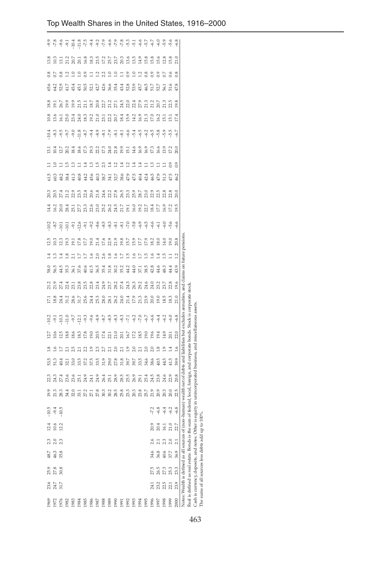| 1969 | 23.6 | 25.9                                           | $48.7$ |                 | $12.4\,$             |                                                                                                             | 19.9                 | 23   | 53.5 | ≌              | 127            | $-10.2$                                                                                             | $\overline{\mathbb{Z}}$              | 21.2 | 58.0            |                 | $-10.2$<br>12.5 |                                                 | 14.4                | 20.3                      | Ξ<br>61.5              | 3                          | $-10.4$                                                                                                                                                                 | 18.8<br>10.8           | 65.6           | $_{\rm 8}^{\rm 8}$ | 13.8                       |                     |
|------|------|------------------------------------------------|--------|-----------------|----------------------|-------------------------------------------------------------------------------------------------------------|----------------------|------|------|----------------|----------------|-----------------------------------------------------------------------------------------------------|--------------------------------------|------|-----------------|-----------------|-----------------|-------------------------------------------------|---------------------|---------------------------|------------------------|----------------------------|-------------------------------------------------------------------------------------------------------------------------------------------------------------------------|------------------------|----------------|--------------------|----------------------------|---------------------|
| 1972 | 24.7 | 27.8                                           | 46.3   | 2.0             | 10.6<br>12.2         | $945$<br>$945$                                                                                              | 21.3                 | 24.3 | 51.3 | $\frac{6}{1}$  | 10.6           |                                                                                                     | 18.8<br>24.4                         | 21.9 | 56.5            | ≌               | 10.3            |                                                 | 16.2                | 20.5                      | 60.3                   | $\geq$<br>$\Xi$            | $-8.3$                                                                                                                                                                  | $\overline{5}$<br>13.6 | 64.2           |                    | 10.3                       | 9<br>၁ - ၁ - ၁<br>၁ |
| 1976 | 31.7 | 30.8                                           | 35.8   | 2.3             |                      |                                                                                                             | 28.3                 | 27.4 | 40.4 | Ξ              | $\frac{5}{2}$  |                                                                                                     |                                      | 27.4 | 44.5            |                 | 123             |                                                 | 20.0                | $\overline{27.4}$         | 18.2                   | 12.7                       |                                                                                                                                                                         | 26.7<br>16.1           | 52.9           |                    | 3                          |                     |
| 1982 |      |                                                |        |                 |                      |                                                                                                             |                      | 23.6 | 32.1 |                | $\frac{8}{8}$  |                                                                                                     | 31.2                                 | 22.4 | 35.3            |                 | 19.3            |                                                 | 28.4                | 21.2                      | 38.4                   | $\approx$<br>$\frac{5}{1}$ | $-9.7$                                                                                                                                                                  | 19.9<br>25.0           | 41.7           |                    | 21.2                       | $-9.1$              |
| 1983 |      |                                                |        |                 |                      |                                                                                                             |                      | 23.6 | 33.0 |                | $\frac{86}{5}$ |                                                                                                     | 28.6                                 | 23.1 | $\overline{56}$ | $\overline{z}$  | $\overline{5}$  |                                                 | 25.1                | 2.9                       | 2<br>41.3              | $\frac{34}{2}$             | $-9.0$                                                                                                                                                                  | 19.9<br>23.4           | 45.4           |                    | 20.7                       |                     |
| 1984 |      |                                                |        |                 |                      |                                                                                                             |                      | 25.1 | 33.5 |                | 18.3           |                                                                                                     | $31.7$<br>$25.6$                     | 23.8 | 37.6            |                 | 17.8            |                                                 | 277                 | 23.5                      | Ξ<br>40.8              | 18.6                       | $-11.8$                                                                                                                                                                 | 21.5<br>24.0           | $-45.1$        |                    | 20.1                       |                     |
| 1985 |      |                                                |        |                 |                      |                                                                                                             |                      | 24.9 | 37.2 |                | $\frac{8}{2}$  |                                                                                                     |                                      | 23.5 | 40.6            |                 | 17.7            |                                                 | 23.3                | 22.4                      | 74<br>44.2             | 17.3                       | $\begin{array}{c} \nabla \cdot \vec{q} & \nabla \cdot \vec{q} & \nabla \cdot \vec{q} \\ \nabla \cdot \vec{q} & \nabla \cdot \vec{q} & \nabla \cdot \vec{q} \end{array}$ | 21.1<br>18.3           | 50.5           |                    | 16.8                       |                     |
| 1986 |      |                                                |        |                 |                      |                                                                                                             |                      | 24.1 | 37.5 | $\frac{0}{1}$  | 19.0           |                                                                                                     | $74.381$<br>$74.381$                 | 22.8 | 41.5            | $\frac{6}{1}$   | 19.0            |                                                 | 2.6                 | 20.6                      | 2<br>45.6              | 19.3                       |                                                                                                                                                                         | 18.7<br>19.2           | $\overline{2}$ |                    | 18.3                       |                     |
| 1987 |      |                                                |        |                 |                      |                                                                                                             |                      | 24.9 | 33.5 | 23             | 20.5           |                                                                                                     |                                      | 23.4 | 36.5            | 2.0             | 21.4            |                                                 | 23.0                | $21.8$                    | 51<br>40.3             | 22.2                       |                                                                                                                                                                         | 20.8<br>21.0           | 42.7           | $\mathbf{r}$       |                            |                     |
| 1988 |      |                                                |        |                 |                      |                                                                                                             |                      | 26.4 | 31.9 | 2.7            | 17.4           |                                                                                                     |                                      | 24.9 | 35.4            | 2.6             |                 |                                                 | 25.2                |                           | 23<br>38.7             | 17.3                       |                                                                                                                                                                         | 22.7<br>23.1           | 42.6           | 2.2                | $23.5$<br>$17.2$<br>$25.7$ |                     |
| 1989 |      |                                                |        |                 |                      |                                                                                                             |                      | 25.1 | 29.0 | $\overline{c}$ | 22.1           |                                                                                                     |                                      | 23.7 | 31.8            | 1.8             | 22.9            |                                                 | 26.2                | 24.6<br>21 21 32<br>27 33 | $\vec{a}$<br>34.1      | 24.0                       |                                                                                                                                                                         | 21.2<br>22.2           | 36.6           | $\frac{0}{10}$     |                            |                     |
| 1990 |      |                                                |        |                 |                      |                                                                                                             |                      | 28.9 | 27.8 | 2.0            | 21.0           |                                                                                                     |                                      | 28.2 | 30.2            | $\frac{6}{1}$   | 21.9            |                                                 | 24.5                |                           | $\frac{2}{2}$<br>32.7  | 21.8                       |                                                                                                                                                                         | 27.1<br>$20.7\,$       | 35.4           | $\Xi$              | 23.7                       |                     |
| 1991 |      |                                                |        |                 |                      |                                                                                                             |                      | 28.5 | 31.8 | $\overline{z}$ | 20.1           |                                                                                                     |                                      | 27.4 | 35.2            | $\frac{7}{2}$   | 19.8            |                                                 | 21.7                | 26.5                      | $\mathbf{1}4$<br>38.6  | 19.9                       |                                                                                                                                                                         | 24.5<br>18.4           | 43.4           | Ξ                  | 20.3                       |                     |
| 1992 |      |                                                |        |                 |                      |                                                                                                             | 1010128028809        | 25.5 | 39.7 | $\frac{0}{1}$  | 16.7           |                                                                                                     | $26.2$<br>$24.3$<br>$24.3$<br>$25.3$ | 24.3 | 44.2            | $\frac{15}{15}$ | 15.7            |                                                 | 19.1                | 23.3                      | $\mathbf{r}$<br>47.9   | $\overline{5}$             | $\frac{7}{9}$ $\frac{6}{9}$ $\frac{4}{9}$                                                                                                                               | 22.0<br>15.9           | 52.8           | $^{0.9}$           | 13.6                       |                     |
| 1993 |      |                                                |        |                 |                      |                                                                                                             |                      | 26.9 | 39.7 | $\approx$      | 17.2           |                                                                                                     |                                      | 26.3 | 44.0            | $^{0.1}$        | 15.9            | $-5.8$                                          | 16.0                | 25.9                      | Ë<br>47.5              | 14.6                       |                                                                                                                                                                         | 22.4<br>14.2           | 53.9           | ≅                  | 13.5                       |                     |
| 1994 |      |                                                |        |                 |                      |                                                                                                             | 23.8<br>25.7<br>21.9 | 29.1 | 33.5 | $\overline{a}$ | 18.5           |                                                                                                     | 21.3<br>23.9                         | 29.2 | 37.1            | E               | 17.7            |                                                 | $\frac{19.2}{22.7}$ | 28.7                      | $\vec{=}$<br>40.4      | 16.9                       | $-6.5$                                                                                                                                                                  | 27.9<br>16.9           | 45.7           | 2                  | 14.9                       |                     |
| 1995 |      |                                                |        |                 |                      |                                                                                                             |                      | 25.4 | 34.6 | 2.0            | 19.0           |                                                                                                     |                                      | 24.6 | 38.5            | 15              | 17.9            | $\begin{array}{c} 9 \\ 9 \\ 9 \\ 9 \end{array}$ |                     | 23.0                      | Ξ<br>42.4              | 16.9                       | $-6.2$                                                                                                                                                                  | 21.3<br>21.3           | 46.5           |                    | 15.8                       |                     |
| 1996 |      | 27.5                                           | 34.6   |                 |                      |                                                                                                             |                      | 24.5 | 38.6 | 2.0            | 19.6           |                                                                                                     | 20.0                                 | 24.0 | 42.8            | $^{0.1}$        | 18.2            |                                                 | 18.4                | 22.9                      | $\mathbf{r}_3$<br>46.5 | 17.3                       | $-6.5$                                                                                                                                                                  | 21.2<br>17.0           | 51.7           |                    | 15.8                       |                     |
| 1661 | 23.2 | 26.5                                           | 36.8   |                 | 20.9<br>20.4<br>16.1 | $7, 3, 4, 6$<br>$7, 4, 6, 6$                                                                                | 20.9                 | 23.8 | 40.5 | $\frac{8}{10}$ | 19.4           | $-6.4$                                                                                              | 19.0                                 | 23.2 | 44.6            |                 | 18.0            | $-6.1$                                          | 177                 | 2.5                       | Ξ<br>47.9              | 16.6                       | - 5                                                                                                                                                                     | 20.7<br>16.2           | 52.7           | $\frac{9}{2}$      | 15.6                       | $-6.0$              |
| 1998 | 2.5  | 27.3                                           | 40.6   |                 |                      |                                                                                                             | 20.3                 | 24.6 | 44.5 | $\frac{9}{11}$ | 14.9           | $-6.2$                                                                                              | 18.5                                 |      | 48.3            |                 | 14.0            | $-6.0$                                          | 16.9                | 2.8                       | Ξ<br>51.3              | 13.9                       | $-5.9$                                                                                                                                                                  | 21.3<br>$\overline{5}$ | 56.1           | 20                 | 12.8                       | $-5.9$              |
| 1999 | 22.1 | 25.3                                           | 37.7   | 2.0             | 21.0                 |                                                                                                             | 20.0                 | 2.9  | 41.5 | 1.4            | 20.1           | $-6.0$                                                                                              | 18.3                                 | 22.8 | 44.4            | Ξ               | 19.0            | $-5.6$                                          | 17.2                | 2.8                       | $^{0.9}$<br>47.5       | 17.2                       | ကို                                                                                                                                                                     | 2.5<br>$\overline{5}$  |                | 66                 | 15.8                       | $-5.6$              |
| 2000 | 23.9 | 23.3                                           | 36.9   | $\overline{21}$ | Ŋ<br>22.             | $-6.8$                                                                                                      | 22.5                 | 20.8 | 39.9 | 1.6            | 22.0           | $-6.8$                                                                                              | 21.0                                 | 19.6 | 43.9            | $\frac{1}{2}$   | 20.8            | $-6.6$                                          | 19.5                | 20.0                      | 0.9<br>46.2            | 20.0                       | $-6.7$                                                                                                                                                                  | 19.8<br>17.4           | 47.8           | 0.8                | 21.0                       | $-6.8$              |
|      |      | Notes: Wealth is defined as all sources of     |        |                 |                      |                                                                                                             |                      |      |      |                |                | non-human) wealth net of debts and liabilities but excludes amuities, and claims on future pensions |                                      |      |                 |                 |                 |                                                 |                     |                           |                        |                            |                                                                                                                                                                         |                        |                |                    |                            |                     |
|      |      | Real is defined as real estate. Bonds is the : |        |                 |                      |                                                                                                             |                      |      |      |                |                | sum of federal, local, foreign, and corporate bonds. Stock is corporate stock                       |                                      |      |                 |                 |                 |                                                 |                     |                           |                        |                            |                                                                                                                                                                         |                        |                |                    |                            |                     |
|      |      |                                                |        |                 |                      | Cash is currency, deposits, and notes. Other is equity in unincorporated business, and miscellaneous assets |                      |      |      |                |                |                                                                                                     |                                      |      |                 |                 |                 |                                                 |                     |                           |                        |                            |                                                                                                                                                                         |                        |                |                    |                            |                     |
|      |      | The sums of all sources less debts add up      |        |                 | to 100%              |                                                                                                             |                      |      |      |                |                |                                                                                                     |                                      |      |                 |                 |                 |                                                 |                     |                           |                        |                            |                                                                                                                                                                         |                        |                |                    |                            |                     |

463 Cash is currency, deposits, and notes. Other is equity in unincorporated business, and miscellaneous assets. The sums of all sources less debts add up to 100%.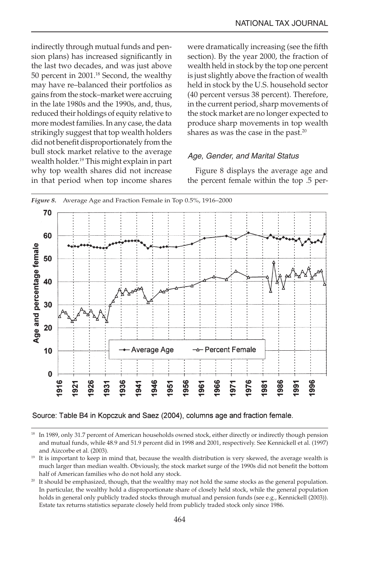indirectly through mutual funds and pension plans) has increased significantly in the last two decades, and was just above 50 percent in 2001.18 Second, the wealthy may have re–balanced their portfolios as gains from the stock–market were accruing in the late 1980s and the 1990s, and, thus, reduced their holdings of equity relative to more modest families. In any case, the data strikingly suggest that top wealth holders did not benefit disproportionately from the bull stock market relative to the average wealth holder.<sup>19</sup> This might explain in part why top wealth shares did not increase in that period when top income shares were dramatically increasing (see the fifth section). By the year 2000, the fraction of wealth held in stock by the top one percent is just slightly above the fraction of wealth held in stock by the U.S. household sector (40 percent versus 38 percent). Therefore, in the current period, sharp movements of the stock market are no longer expected to produce sharp movements in top wealth shares as was the case in the past.<sup>20</sup>

# Age, Gender, and Marital Status

Figure 8 displays the average age and the percent female within the top .5 per-



Source: Table B4 in Kopczuk and Saez (2004), columns age and fraction female.

<sup>&</sup>lt;sup>18</sup> In 1989, only 31.7 percent of American households owned stock, either directly or indirectly though pension and mutual funds, while 48.9 and 51.9 percent did in 1998 and 2001, respectively. See Kennickell et al. (1997) and Aizcorbe et al. (2003).

<sup>&</sup>lt;sup>19</sup> It is important to keep in mind that, because the wealth distribution is very skewed, the average wealth is much larger than median wealth. Obviously, the stock market surge of the 1990s did not benefit the bottom half of American families who do not hold any stock.

<sup>&</sup>lt;sup>20</sup> It should be emphasized, though, that the wealthy may not hold the same stocks as the general population. In particular, the wealthy hold a disproportionate share of closely held stock, while the general population holds in general only publicly traded stocks through mutual and pension funds (see e.g., Kennickell (2003)). Estate tax returns statistics separate closely held from publicly traded stock only since 1986.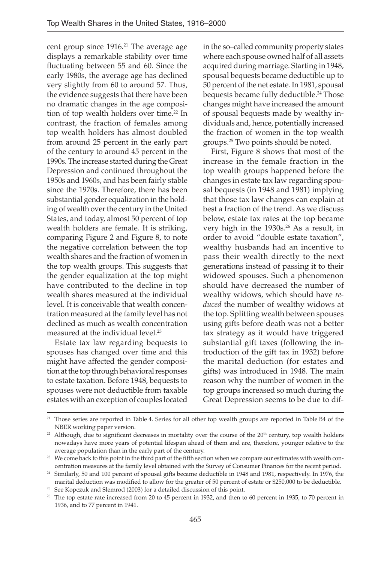cent group since  $1916.<sup>21</sup>$  The average age displays a remarkable stability over time fluctuating between 55 and 60. Since the early 1980s, the average age has declined very slightly from 60 to around 57. Thus, the evidence suggests that there have been no dramatic changes in the age composition of top wealth holders over time.<sup>22</sup> In contrast, the fraction of females among top wealth holders has almost doubled from around 25 percent in the early part of the century to around 45 percent in the 1990s. The increase started during the Great Depression and continued throughout the 1950s and 1960s, and has been fairly stable since the 1970s. Therefore, there has been substantial gender equalization in the holding of wealth over the century in the United States, and today, almost 50 percent of top wealth holders are female. It is striking, comparing Figure 2 and Figure 8, to note the negative correlation between the top wealth shares and the fraction of women in the top wealth groups. This suggests that the gender equalization at the top might have contributed to the decline in top wealth shares measured at the individual level. It is conceivable that wealth concentration measured at the family level has not declined as much as wealth concentration measured at the individual level.<sup>23</sup>

Estate tax law regarding bequests to spouses has changed over time and this might have affected the gender composition at the top through behavioral responses to estate taxation. Before 1948, bequests to spouses were not deductible from taxable estates with an exception of couples located

in the so–called community property states where each spouse owned half of all assets acquired during marriage. Starting in 1948, spousal bequests became deductible up to 50 percent of the net estate. In 1981, spousal bequests became fully deductible.<sup>24</sup> Those changes might have increased the amount of spousal bequests made by wealthy individuals and, hence, potentially increased the fraction of women in the top wealth groups.25 Two points should be noted.

First, Figure 8 shows that most of the increase in the female fraction in the top wealth groups happened before the changes in estate tax law regarding spousal bequests (in 1948 and 1981) implying that those tax law changes can explain at best a fraction of the trend. As we discuss below, estate tax rates at the top became very high in the 1930s.<sup>26</sup> As a result, in order to avoid "double estate taxation", wealthy husbands had an incentive to pass their wealth directly to the next generations instead of passing it to their widowed spouses. Such a phenomenon should have decreased the number of wealthy widows, which should have *reduced* the number of wealthy widows at the top. Splitting wealth between spouses using gifts before death was not a better tax strategy as it would have triggered substantial gift taxes (following the introduction of the gift tax in 1932) before the marital deduction (for estates and gifts) was introduced in 1948. The main reason why the number of women in the top groups increased so much during the Great Depression seems to be due to dif-

<sup>&</sup>lt;sup>21</sup> Those series are reported in Table 4. Series for all other top wealth groups are reported in Table B4 of the NBER working paper version.<br><sup>22</sup> Although, due to significant decreases in mortality over the course of the 20<sup>th</sup> century, top wealth holders

nowadays have more years of potential lifespan ahead of them and are, therefore, younger relative to the average population than in the early part of the century.

<sup>&</sup>lt;sup>23</sup> We come back to this point in the third part of the fifth section when we compare our estimates with wealth concentration measures at the family level obtained with the Survey of Consumer Finances for the recent period.

<sup>&</sup>lt;sup>24</sup> Similarly, 50 and 100 percent of spousal gifts became deductible in 1948 and 1981, respectively. In 1976, the marital deduction was modified to allow for the greater of 50 percent of estate or \$250,000 to be deductible. <sup>25</sup> See Kopczuk and Slemrod (2003) for a detailed discussion of this point.

 $26$  The top estate rate increased from 20 to 45 percent in 1932, and then to 60 percent in 1935, to 70 percent in 1936, and to 77 percent in 1941.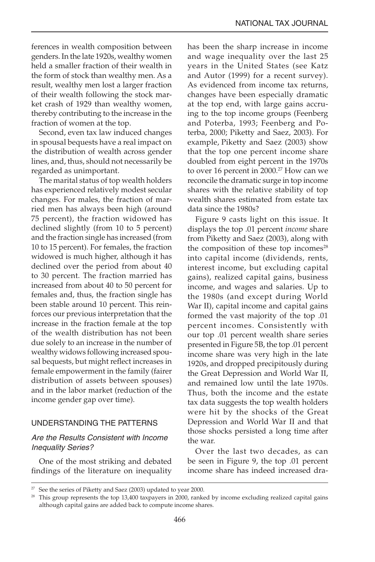ferences in wealth composition between genders. In the late 1920s, wealthy women held a smaller fraction of their wealth in the form of stock than wealthy men. As a result, wealthy men lost a larger fraction of their wealth following the stock market crash of 1929 than wealthy women, thereby contributing to the increase in the fraction of women at the top.

Second, even tax law induced changes in spousal bequests have a real impact on the distribution of wealth across gender lines, and, thus, should not necessarily be regarded as unimportant.

The marital status of top wealth holders has experienced relatively modest secular changes. For males, the fraction of married men has always been high (around 75 percent), the fraction widowed has declined slightly (from 10 to 5 percent) and the fraction single has increased (from 10 to 15 percent). For females, the fraction widowed is much higher, although it has declined over the period from about 40 to 30 percent. The fraction married has increased from about 40 to 50 percent for females and, thus, the fraction single has been stable around 10 percent. This reinforces our previous interpretation that the increase in the fraction female at the top of the wealth distribution has not been due solely to an increase in the number of wealthy widows following increased spousal bequests, but might reflect increases in female empowerment in the family (fairer distribution of assets between spouses) and in the labor market (reduction of the income gender gap over time).

#### UNDERSTANDING THE PATTERNS

# Are the Results Consistent with Income Inequality Series?

One of the most striking and debated findings of the literature on inequality has been the sharp increase in income and wage inequality over the last 25 years in the United States (see Katz and Autor (1999) for a recent survey). As evidenced from income tax returns, changes have been especially dramatic at the top end, with large gains accruing to the top income groups (Feenberg and Poterba, 1993; Feenberg and Poterba, 2000; Piketty and Saez, 2003). For example, Piketty and Saez (2003) show that the top one percent income share doubled from eight percent in the 1970s to over 16 percent in 2000.<sup>27</sup> How can we reconcile the dramatic surge in top income shares with the relative stability of top wealth shares estimated from estate tax data since the 1980s?

Figure 9 casts light on this issue. It displays the top .01 percent *income* share from Piketty and Saez (2003), along with the composition of these top incomes<sup>28</sup> into capital income (dividends, rents, interest income, but excluding capital gains), realized capital gains, business income, and wages and salaries. Up to the 1980s (and except during World War II), capital income and capital gains formed the vast majority of the top .01 percent incomes. Consistently with our top .01 percent wealth share series presented in Figure 5B, the top .01 percent income share was very high in the late 1920s, and dropped precipitously during the Great Depression and World War II, and remained low until the late 1970s. Thus, both the income and the estate tax data suggests the top wealth holders were hit by the shocks of the Great Depression and World War II and that those shocks persisted a long time after the war.

Over the last two decades, as can be seen in Figure 9, the top .01 percent income share has indeed increased dra-

<sup>&</sup>lt;sup>27</sup> See the series of Piketty and Saez (2003) updated to year 2000.

 $28$  This group represents the top 13,400 taxpayers in 2000, ranked by income excluding realized capital gains although capital gains are added back to compute income shares.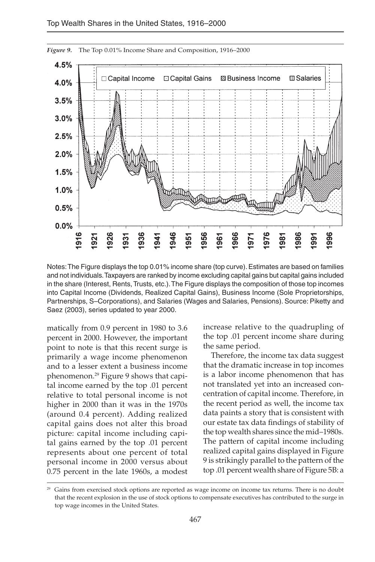

Notes: The Figure displays the top 0.01% income share (top curve). Estimates are based on families and not individuals. Taxpayers are ranked by income excluding capital gains but capital gains included in the share (Interest, Rents, Trusts, etc.). The Figure displays the composition of those top incomes into Capital Income (Dividends, Realized Capital Gains), Business Income (Sole Proprietorships, Partnerships, S–Corporations), and Salaries (Wages and Salaries, Pensions). Source: Piketty and Saez (2003), series updated to year 2000.

matically from 0.9 percent in 1980 to 3.6 percent in 2000. However, the important point to note is that this recent surge is primarily a wage income phenomenon and to a lesser extent a business income phenomenon.29 Figure 9 shows that capital income earned by the top .01 percent relative to total personal income is not higher in 2000 than it was in the 1970s (around 0.4 percent). Adding realized capital gains does not alter this broad picture: capital income including capital gains earned by the top .01 percent represents about one percent of total personal income in 2000 versus about 0.75 percent in the late 1960s, a modest increase relative to the quadrupling of the top .01 percent income share during the same period.

Therefore, the income tax data suggest that the dramatic increase in top incomes is a labor income phenomenon that has not translated yet into an increased concentration of capital income. Therefore, in the recent period as well, the income tax data paints a story that is consistent with our estate tax data findings of stability of the top wealth shares since the mid–1980s. The pattern of capital income including realized capital gains displayed in Figure 9 is strikingly parallel to the pattern of the top .01 percent wealth share of Figure 5B: a

 $29$  Gains from exercised stock options are reported as wage income on income tax returns. There is no doubt that the recent explosion in the use of stock options to compensate executives has contributed to the surge in top wage incomes in the United States.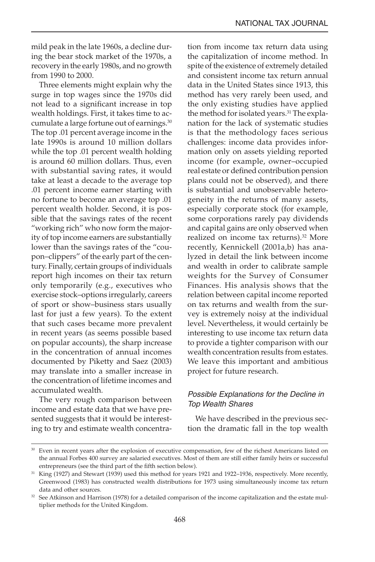mild peak in the late 1960s, a decline during the bear stock market of the 1970s, a recovery in the early 1980s, and no growth from 1990 to 2000.

Three elements might explain why the surge in top wages since the 1970s did not lead to a significant increase in top wealth holdings. First, it takes time to accumulate a large fortune out of earnings.<sup>30</sup> The top .01 percent average income in the late 1990s is around 10 million dollars while the top .01 percent wealth holding is around 60 million dollars. Thus, even with substantial saving rates, it would take at least a decade to the average top .01 percent income earner starting with no fortune to become an average top .01 percent wealth holder. Second, it is possible that the savings rates of the recent "working rich" who now form the majority of top income earners are substantially lower than the savings rates of the "coupon–clippers" of the early part of the century. Finally, certain groups of individuals report high incomes on their tax return only temporarily (e.g., executives who exercise stock–options irregularly, careers of sport or show–business stars usually last for just a few years). To the extent that such cases became more prevalent in recent years (as seems possible based on popular accounts), the sharp increase in the concentration of annual incomes documented by Piketty and Saez (2003) may translate into a smaller increase in the concentration of lifetime incomes and accumulated wealth.

The very rough comparison between income and estate data that we have presented suggests that it would be interesting to try and estimate wealth concentration from income tax return data using the capitalization of income method. In spite of the existence of extremely detailed and consistent income tax return annual data in the United States since 1913, this method has very rarely been used, and the only existing studies have applied the method for isolated years.<sup>31</sup> The explanation for the lack of systematic studies is that the methodology faces serious challenges: income data provides information only on assets yielding reported income (for example, owner–occupied real estate or defined contribution pension plans could not be observed), and there is substantial and unobservable heterogeneity in the returns of many assets, especially corporate stock (for example, some corporations rarely pay dividends and capital gains are only observed when realized on income tax returns).<sup>32</sup> More recently, Kennickell (2001a,b) has analyzed in detail the link between income and wealth in order to calibrate sample weights for the Survey of Consumer Finances. His analysis shows that the relation between capital income reported on tax returns and wealth from the survey is extremely noisy at the individual level. Nevertheless, it would certainly be interesting to use income tax return data to provide a tighter comparison with our wealth concentration results from estates. We leave this important and ambitious project for future research.

# Possible Explanations for the Decline in Top Wealth Shares

We have described in the previous section the dramatic fall in the top wealth

<sup>&</sup>lt;sup>30</sup> Even in recent years after the explosion of executive compensation, few of the richest Americans listed on the annual Forbes 400 survey are salaried executives. Most of them are still either family heirs or successful entrepreneurs (see the third part of the fifth section below).

<sup>&</sup>lt;sup>31</sup> King (1927) and Stewart (1939) used this method for years 1921 and 1922–1936, respectively. More recently, Greenwood (1983) has constructed wealth distributions for 1973 using simultaneously income tax return data and other sources.

<sup>&</sup>lt;sup>32</sup> See Atkinson and Harrison (1978) for a detailed comparison of the income capitalization and the estate multiplier methods for the United Kingdom.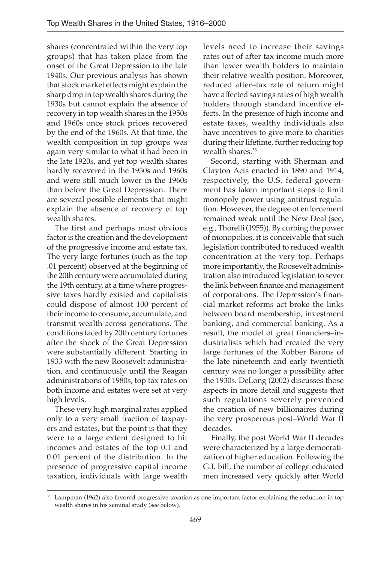shares (concentrated within the very top groups) that has taken place from the onset of the Great Depression to the late 1940s. Our previous analysis has shown that stock market effects might explain the sharp drop in top wealth shares during the 1930s but cannot explain the absence of recovery in top wealth shares in the 1950s and 1960s once stock prices recovered by the end of the 1960s. At that time, the wealth composition in top groups was again very similar to what it had been in the late 1920s, and yet top wealth shares hardly recovered in the 1950s and 1960s and were still much lower in the 1960s than before the Great Depression. There are several possible elements that might explain the absence of recovery of top wealth shares.

The first and perhaps most obvious factor is the creation and the development of the progressive income and estate tax. The very large fortunes (such as the top .01 percent) observed at the beginning of the 20th century were accumulated during the 19th century, at a time where progressive taxes hardly existed and capitalists could dispose of almost 100 percent of their income to consume, accumulate, and transmit wealth across generations. The conditions faced by 20th century fortunes after the shock of the Great Depression were substantially different. Starting in 1933 with the new Roosevelt administration, and continuously until the Reagan administrations of 1980s, top tax rates on both income and estates were set at very high levels.

These very high marginal rates applied only to a very small fraction of taxpayers and estates, but the point is that they were to a large extent designed to hit incomes and estates of the top 0.1 and 0.01 percent of the distribution. In the presence of progressive capital income taxation, individuals with large wealth

levels need to increase their savings rates out of after tax income much more than lower wealth holders to maintain their relative wealth position. Moreover, reduced after–tax rate of return might have affected savings rates of high wealth holders through standard incentive effects. In the presence of high income and estate taxes, wealthy individuals also have incentives to give more to charities during their lifetime, further reducing top wealth shares.<sup>33</sup>

Second, starting with Sherman and Clayton Acts enacted in 1890 and 1914, respectively, the U.S. federal government has taken important steps to limit monopoly power using antitrust regulation. However, the degree of enforcement remained weak until the New Deal (see, e.g., Thorelli (1955)). By curbing the power of monopolies, it is conceivable that such legislation contributed to reduced wealth concentration at the very top. Perhaps more importantly, the Roosevelt administration also introduced legislation to sever the link between finance and management of corporations. The Depression's financial market reforms act broke the links between board membership, investment banking, and commercial banking. As a result, the model of great financiers–industrialists which had created the very large fortunes of the Robber Barons of the late nineteenth and early twentieth century was no longer a possibility after the 1930s. DeLong (2002) discusses those aspects in more detail and suggests that such regulations severely prevented the creation of new billionaires during the very prosperous post–World War II decades.

Finally, the post World War II decades were characterized by a large democratization of higher education. Following the G.I. bill, the number of college educated men increased very quickly after World

<sup>&</sup>lt;sup>33</sup> Lampman (1962) also favored progressive taxation as one important factor explaining the reduction in top wealth shares in his seminal study (see below).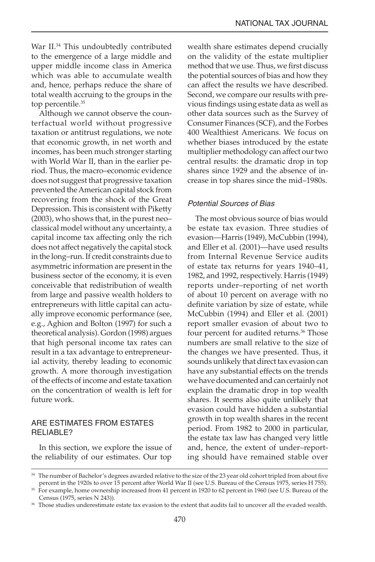War II.<sup>34</sup> This undoubtedly contributed to the emergence of a large middle and upper middle income class in America which was able to accumulate wealth and, hence, perhaps reduce the share of total wealth accruing to the groups in the top percentile.<sup>35</sup>

Although we cannot observe the counterfactual world without progressive taxation or antitrust regulations, we note that economic growth, in net worth and incomes, has been much stronger starting with World War II, than in the earlier period. Thus, the macro–economic evidence does not suggest that progressive taxation prevented the American capital stock from recovering from the shock of the Great Depression. This is consistent with Piketty (2003), who shows that, in the purest neo– classical model without any uncertainty, a capital income tax affecting only the rich does not affect negatively the capital stock in the long–run. If credit constraints due to asymmetric information are present in the business sector of the economy, it is even conceivable that redistribution of wealth from large and passive wealth holders to entrepreneurs with little capital can actually improve economic performance (see, e.g., Aghion and Bolton (1997) for such a theoretical analysis). Gordon (1998) argues that high personal income tax rates can result in a tax advantage to entrepreneurial activity, thereby leading to economic growth. A more thorough investigation of the effects of income and estate taxation on the concentration of wealth is left for future work.

# ARE ESTIMATES FROM ESTATES RELIABLE?

In this section, we explore the issue of the reliability of our estimates. Our top

wealth share estimates depend crucially on the validity of the estate multiplier method that we use. Thus, we first discuss the potential sources of bias and how they can affect the results we have described. Second, we compare our results with previous findings using estate data as well as other data sources such as the Survey of Consumer Finances (SCF), and the Forbes 400 Wealthiest Americans. We focus on whether biases introduced by the estate multiplier methodology can affect our two central results: the dramatic drop in top shares since 1929 and the absence of increase in top shares since the mid–1980s.

# Potential Sources of Bias

The most obvious source of bias would be estate tax evasion. Three studies of evasion—Harris (1949), McCubbin (1994), and Eller et al. (2001)—have used results from Internal Revenue Service audits of estate tax returns for years 1940–41, 1982, and 1992, respectively. Harris (1949) reports under–reporting of net worth of about 10 percent on average with no definite variation by size of estate, while McCubbin (1994) and Eller et al. (2001) report smaller evasion of about two to four percent for audited returns.<sup>36</sup> Those numbers are small relative to the size of the changes we have presented. Thus, it sounds unlikely that direct tax evasion can have any substantial effects on the trends we have documented and can certainly not explain the dramatic drop in top wealth shares. It seems also quite unlikely that evasion could have hidden a substantial growth in top wealth shares in the recent period. From 1982 to 2000 in particular, the estate tax law has changed very little and, hence, the extent of under–reporting should have remained stable over

<sup>&</sup>lt;sup>34</sup> The number of Bachelor's degrees awarded relative to the size of the 23 year old cohort tripled from about five percent in the 1920s to over 15 percent after World War II (see U.S. Bureau of the Census 1975, series H 755).

 $35$  For example, home ownership increased from 41 percent in 1920 to 62 percent in 1960 (see U.S. Bureau of the Census (1975, series N 243)).

<sup>36</sup> Those studies underestimate estate tax evasion to the extent that audits fail to uncover all the evaded wealth.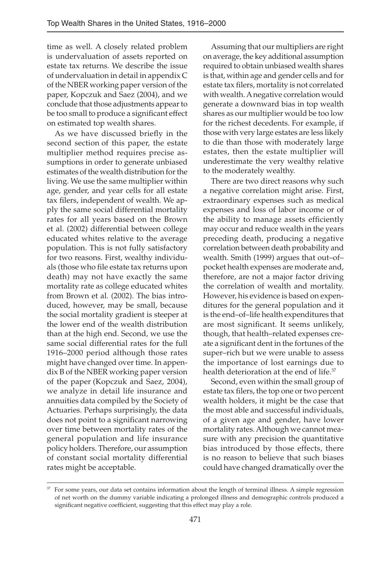time as well. A closely related problem is undervaluation of assets reported on estate tax returns. We describe the issue of undervaluation in detail in appendix C of the NBER working paper version of the paper, Kopczuk and Saez (2004), and we conclude that those adjustments appear to be too small to produce a significant effect on estimated top wealth shares.

As we have discussed briefly in the second section of this paper, the estate multiplier method requires precise assumptions in order to generate unbiased estimates of the wealth distribution for the living. We use the same multiplier within age, gender, and year cells for all estate tax filers, independent of wealth. We apply the same social differential mortality rates for all years based on the Brown et al. (2002) differential between college educated whites relative to the average population. This is not fully satisfactory for two reasons. First, wealthy individuals (those who file estate tax returns upon death) may not have exactly the same mortality rate as college educated whites from Brown et al. (2002). The bias introduced, however, may be small, because the social mortality gradient is steeper at the lower end of the wealth distribution than at the high end. Second, we use the same social differential rates for the full 1916–2000 period although those rates might have changed over time. In appendix B of the NBER working paper version of the paper (Kopczuk and Saez, 2004), we analyze in detail life insurance and annuities data compiled by the Society of Actuaries. Perhaps surprisingly, the data does not point to a significant narrowing over time between mortality rates of the general population and life insurance policy holders. Therefore, our assumption of constant social mortality differential rates might be acceptable.

Assuming that our multipliers are right on average, the key additional assumption required to obtain unbiased wealth shares is that, within age and gender cells and for estate tax filers, mortality is not correlated with wealth. A negative correlation would generate a downward bias in top wealth shares as our multiplier would be too low for the richest decedents. For example, if those with very large estates are less likely to die than those with moderately large estates, then the estate multiplier will underestimate the very wealthy relative to the moderately wealthy.

There are two direct reasons why such a negative correlation might arise. First, extraordinary expenses such as medical expenses and loss of labor income or of the ability to manage assets efficiently may occur and reduce wealth in the years preceding death, producing a negative correlation between death probability and wealth. Smith (1999) argues that out–of– pocket health expenses are moderate and, therefore, are not a major factor driving the correlation of wealth and mortality. However, his evidence is based on expenditures for the general population and it is the end–of–life health expenditures that are most significant. It seems unlikely, though, that health–related expenses create a significant dent in the fortunes of the super–rich but we were unable to assess the importance of lost earnings due to health deterioration at the end of life.<sup>37</sup>

Second, even within the small group of estate tax filers, the top one or two percent wealth holders, it might be the case that the most able and successful individuals, of a given age and gender, have lower mortality rates. Although we cannot measure with any precision the quantitative bias introduced by those effects, there is no reason to believe that such biases could have changed dramatically over the

<sup>&</sup>lt;sup>37</sup> For some years, our data set contains information about the length of terminal illness. A simple regression of net worth on the dummy variable indicating a prolonged illness and demographic controls produced a significant negative coefficient, suggesting that this effect may play a role.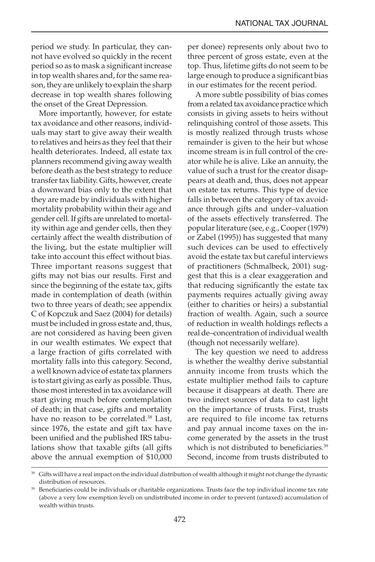period we study. In particular, they cannot have evolved so quickly in the recent period so as to mask a significant increase in top wealth shares and, for the same reason, they are unlikely to explain the sharp decrease in top wealth shares following the onset of the Great Depression.

More importantly, however, for estate tax avoidance and other reasons, individuals may start to give away their wealth to relatives and heirs as they feel that their health deteriorates. Indeed, all estate tax planners recommend giving away wealth before death as the best strategy to reduce transfer tax liability. Gifts, however, create a downward bias only to the extent that they are made by individuals with higher mortality probability within their age and gender cell. If gifts are unrelated to mortality within age and gender cells, then they certainly affect the wealth distribution of the living, but the estate multiplier will take into account this effect without bias. Three important reasons suggest that gifts may not bias our results. First and since the beginning of the estate tax, gifts made in contemplation of death (within two to three years of death; see appendix C of Kopczuk and Saez (2004) for details) must be included in gross estate and, thus, are not considered as having been given in our wealth estimates. We expect that a large fraction of gifts correlated with mortality falls into this category. Second, a well known advice of estate tax planners is to start giving as early as possible. Thus, those most interested in tax avoidance will start giving much before contemplation of death; in that case, gifts and mortality have no reason to be correlated.<sup>38</sup> Last, since 1976, the estate and gift tax have been unified and the published IRS tabulations show that taxable gifts (all gifts above the annual exemption of \$10,000

per donee) represents only about two to three percent of gross estate, even at the top. Thus, lifetime gifts do not seem to be large enough to produce a significant bias in our estimates for the recent period.

A more subtle possibility of bias comes from a related tax avoidance practice which consists in giving assets to heirs without relinquishing control of those assets. This is mostly realized through trusts whose remainder is given to the heir but whose income stream is in full control of the creator while he is alive. Like an annuity, the value of such a trust for the creator disappears at death and, thus, does not appear on estate tax returns. This type of device falls in between the category of tax avoidance through gifts and under–valuation of the assets effectively transferred. The popular literature (see, e.g., Cooper (1979) or Zabel (1995)) has suggested that many such devices can be used to effectively avoid the estate tax but careful interviews of practitioners (Schmalbeck, 2001) suggest that this is a clear exaggeration and that reducing significantly the estate tax payments requires actually giving away (either to charities or heirs) a substantial fraction of wealth. Again, such a source of reduction in wealth holdings reflects a real de–concentration of individual wealth (though not necessarily welfare).

The key question we need to address is whether the wealthy derive substantial annuity income from trusts which the estate multiplier method fails to capture because it disappears at death. There are two indirect sources of data to cast light on the importance of trusts. First, trusts are required to file income tax returns and pay annual income taxes on the income generated by the assets in the trust which is not distributed to beneficiaries.<sup>39</sup> Second, income from trusts distributed to

<sup>&</sup>lt;sup>38</sup> Gifts will have a real impact on the individual distribution of wealth although it might not change the dynastic distribution of resources.

<sup>&</sup>lt;sup>39</sup> Beneficiaries could be individuals or charitable organizations. Trusts face the top individual income tax rate (above a very low exemption level) on undistributed income in order to prevent (untaxed) accumulation of wealth within trusts.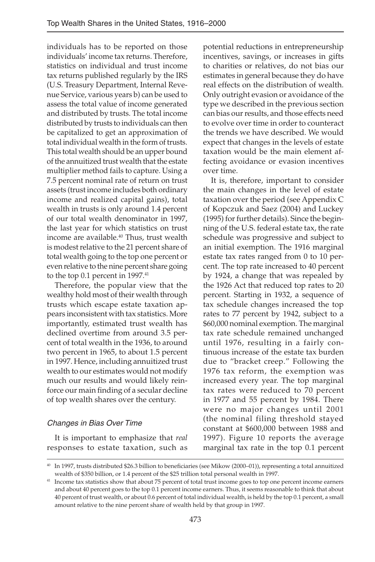individuals has to be reported on those individuals' income tax returns. Therefore, statistics on individual and trust income tax returns published regularly by the IRS (U.S. Treasury Department, Internal Revenue Service, various years b) can be used to assess the total value of income generated and distributed by trusts. The total income distributed by trusts to individuals can then be capitalized to get an approximation of total individual wealth in the form of trusts. This total wealth should be an upper bound of the annuitized trust wealth that the estate multiplier method fails to capture. Using a 7.5 percent nominal rate of return on trust assets (trust income includes both ordinary income and realized capital gains), total wealth in trusts is only around 1.4 percent of our total wealth denominator in 1997, the last year for which statistics on trust income are available.<sup>40</sup> Thus, trust wealth is modest relative to the 21 percent share of total wealth going to the top one percent or even relative to the nine percent share going to the top 0.1 percent in 1997.<sup>41</sup>

Therefore, the popular view that the wealthy hold most of their wealth through trusts which escape estate taxation appears inconsistent with tax statistics. More importantly, estimated trust wealth has declined overtime from around 3.5 percent of total wealth in the 1936, to around two percent in 1965, to about 1.5 percent in 1997. Hence, including annuitized trust wealth to our estimates would not modify much our results and would likely reinforce our main finding of a secular decline of top wealth shares over the century.

# Changes in Bias Over Time

It is important to emphasize that *real* responses to estate taxation, such as potential reductions in entrepreneurship incentives, savings, or increases in gifts to charities or relatives, do not bias our estimates in general because they do have real effects on the distribution of wealth. Only outright evasion or avoidance of the type we described in the previous section can bias our results, and those effects need to evolve over time in order to counteract the trends we have described. We would expect that changes in the levels of estate taxation would be the main element affecting avoidance or evasion incentives over time.

It is, therefore, important to consider the main changes in the level of estate taxation over the period (see Appendix C of Kopczuk and Saez (2004) and Luckey (1995) for further details). Since the beginning of the U.S. federal estate tax, the rate schedule was progressive and subject to an initial exemption. The 1916 marginal estate tax rates ranged from 0 to 10 percent. The top rate increased to 40 percent by 1924, a change that was repealed by the 1926 Act that reduced top rates to 20 percent. Starting in 1932, a sequence of tax schedule changes increased the top rates to 77 percent by 1942, subject to a \$60,000 nominal exemption. The marginal tax rate schedule remained unchanged until 1976, resulting in a fairly continuous increase of the estate tax burden due to "bracket creep." Following the 1976 tax reform, the exemption was increased every year. The top marginal tax rates were reduced to 70 percent in 1977 and 55 percent by 1984. There were no major changes until 2001 (the nominal filing threshold stayed constant at \$600,000 between 1988 and 1997). Figure 10 reports the average marginal tax rate in the top 0.1 percent

<sup>40</sup> In 1997, trusts distributed \$26.3 billion to beneficiaries (see Mikow (2000–01)), representing a total annuitized wealth of \$350 billion, or 1.4 percent of the \$25 trillion total personal wealth in 1997.

<sup>41</sup> Income tax statistics show that about 75 percent of total trust income goes to top one percent income earners and about 40 percent goes to the top 0.1 percent income earners. Thus, it seems reasonable to think that about 40 percent of trust wealth, or about 0.6 percent of total individual wealth, is held by the top 0.1 percent, a small amount relative to the nine percent share of wealth held by that group in 1997.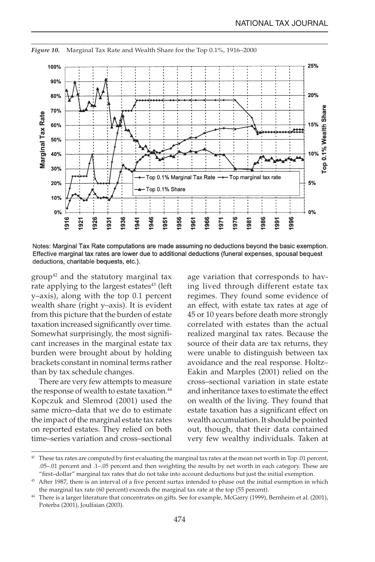

*Figure 10.* Marginal Tax Rate and Wealth Share for the Top 0.1%, 1916–2000

Notes: Marginal Tax Rate computations are made assuming no deductions beyond the basic exemption. Effective marginal tax rates are lower due to additional deductions (funeral expenses, spousal bequest deductions, charitable bequests, etc.).

group<sup>42</sup> and the statutory marginal tax rate applying to the largest estates<sup>43</sup> (left y–axis), along with the top 0.1 percent wealth share (right y–axis). It is evident from this picture that the burden of estate taxation increased significantly over time. Somewhat surprisingly, the most significant increases in the marginal estate tax burden were brought about by holding brackets constant in nominal terms rather than by tax schedule changes.

There are very few attempts to measure the response of wealth to estate taxation.<sup>44</sup> Kopczuk and Slemrod (2001) used the same micro–data that we do to estimate the impact of the marginal estate tax rates on reported estates. They relied on both time–series variation and cross–sectional age variation that corresponds to having lived through different estate tax regimes. They found some evidence of an effect, with estate tax rates at age of 45 or 10 years before death more strongly correlated with estates than the actual realized marginal tax rates. Because the source of their data are tax returns, they were unable to distinguish between tax avoidance and the real response. Holtz– Eakin and Marples (2001) relied on the cross–sectional variation in state estate and inheritance taxes to estimate the effect on wealth of the living. They found that estate taxation has a significant effect on wealth accumulation. It should be pointed out, though, that their data contained very few wealthy individuals. Taken at

<sup>&</sup>lt;sup>42</sup> These tax rates are computed by first evaluating the marginal tax rates at the mean net worth in Top .01 percent, .05–.01 percent and .1–.05 percent and then weighting the results by net worth in each category. These are "first–dollar" marginal tax rates that do not take into account deductions but just the initial exemption.

<sup>&</sup>lt;sup>43</sup> After 1987, there is an interval of a five percent surtax intended to phase out the initial exemption in which the marginal tax rate (60 percent) exceeds the marginal tax rate at the top (55 percent).

<sup>44</sup> There is a larger literature that concentrates on gifts. See for example, McGarry (1999), Bernheim et al. (2001), Poterba (2001), Joulfaian (2003).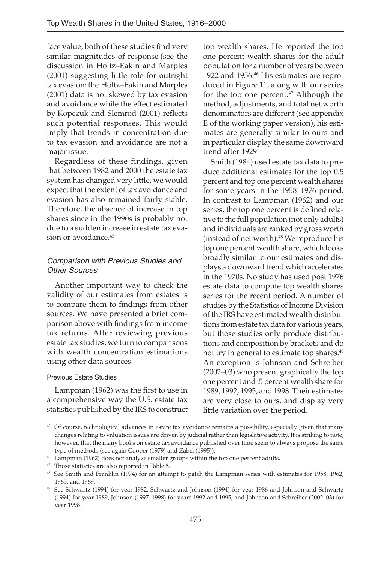face value, both of these studies find very similar magnitudes of response (see the discussion in Holtz–Eakin and Marples (2001) suggesting little role for outright tax evasion: the Holtz–Eakin and Marples (2001) data is not skewed by tax evasion and avoidance while the effect estimated by Kopczuk and Slemrod (2001) reflects such potential responses. This would imply that trends in concentration due to tax evasion and avoidance are not a major issue.

Regardless of these findings, given that between 1982 and 2000 the estate tax system has changed very little, we would expect that the extent of tax avoidance and evasion has also remained fairly stable. Therefore, the absence of increase in top shares since in the 1990s is probably not due to a sudden increase in estate tax evasion or avoidance.<sup>45</sup>

# Comparison with Previous Studies and Other Sources

Another important way to check the validity of our estimates from estates is to compare them to findings from other sources. We have presented a brief comparison above with findings from income tax returns. After reviewing previous estate tax studies, we turn to comparisons with wealth concentration estimations using other data sources.

#### Previous Estate Studies

Lampman (1962) was the first to use in a comprehensive way the U.S. estate tax statistics published by the IRS to construct top wealth shares. He reported the top one percent wealth shares for the adult population for a number of years between 1922 and 1956.<sup>46</sup> His estimates are reproduced in Figure 11, along with our series for the top one percent.<sup>47</sup> Although the method, adjustments, and total net worth denominators are different (see appendix E of the working paper version), his estimates are generally similar to ours and in particular display the same downward trend after 1929.

Smith (1984) used estate tax data to produce additional estimates for the top 0.5 percent and top one percent wealth shares for some years in the 1958–1976 period. In contrast to Lampman (1962) and our series, the top one percent is defined relative to the full population (not only adults) and individuals are ranked by gross worth (instead of net worth).48 We reproduce his top one percent wealth share, which looks broadly similar to our estimates and displays a downward trend which accelerates in the 1970s. No study has used post 1976 estate data to compute top wealth shares series for the recent period. A number of studies by the Statistics of Income Division of the IRS have estimated wealth distributions from estate tax data for various years, but those studies only produce distributions and composition by brackets and do not try in general to estimate top shares.49 An exception is Johnson and Schreiber (2002–03) who present graphically the top one percent and .5 percent wealth share for 1989, 1992, 1995, and 1998. Their estimates are very close to ours, and display very little variation over the period.

<sup>45</sup> Of course, technological advances in estate tax avoidance remains a possibility, especially given that many changes relating to valuation issues are driven by judicial rather than legislative activity. It is striking to note, however, that the many books on estate tax avoidance published over time seem to always propose the same type of methods (see again Cooper (1979) and Zabel (1995)).

<sup>46</sup> Lampman (1962) does not analyze smaller groups within the top one percent adults.

<sup>&</sup>lt;sup>47</sup> Those statistics are also reported in Table 5.

<sup>&</sup>lt;sup>48</sup> See Smith and Franklin (1974) for an attempt to patch the Lampman series with estimates for 1958, 1962, 1965, and 1969.

<sup>49</sup> See Schwartz (1994) for year 1982, Schwartz and Johnson (1994) for year 1986 and Johnson and Schwartz (1994) for year 1989, Johnson (1997–1998) for years 1992 and 1995, and Johnson and Schreiber (2002–03) for year 1998.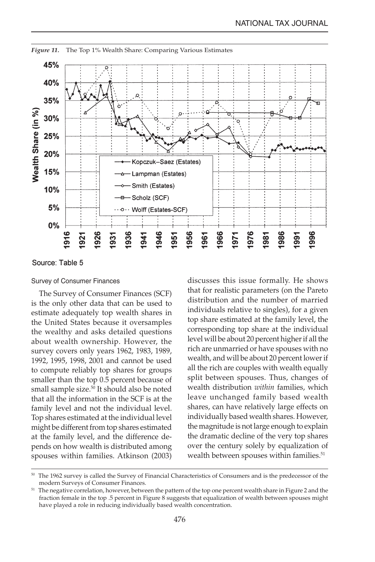

*Figure 11.* The Top 1% Wealth Share: Comparing Various Estimates

Source: Table 5

#### Survey of Consumer Finances

The Survey of Consumer Finances (SCF) is the only other data that can be used to estimate adequately top wealth shares in the United States because it oversamples the wealthy and asks detailed questions about wealth ownership. However, the survey covers only years 1962, 1983, 1989, 1992, 1995, 1998, 2001 and cannot be used to compute reliably top shares for groups smaller than the top 0.5 percent because of small sample size.<sup>50</sup> It should also be noted that all the information in the SCF is at the family level and not the individual level. Top shares estimated at the individual level might be different from top shares estimated at the family level, and the difference depends on how wealth is distributed among spouses within families. Atkinson (2003) discusses this issue formally. He shows that for realistic parameters (on the Pareto distribution and the number of married individuals relative to singles), for a given top share estimated at the family level, the corresponding top share at the individual level will be about 20 percent higher if all the rich are unmarried or have spouses with no wealth, and will be about 20 percent lower if all the rich are couples with wealth equally split between spouses. Thus, changes of wealth distribution *within* families, which leave unchanged family based wealth shares, can have relatively large effects on individually based wealth shares. However, the magnitude is not large enough to explain the dramatic decline of the very top shares over the century solely by equalization of wealth between spouses within families.<sup>51</sup>

<sup>&</sup>lt;sup>50</sup> The 1962 survey is called the Survey of Financial Characteristics of Consumers and is the predecessor of the modern Surveys of Consumer Finances.

<sup>&</sup>lt;sup>51</sup> The negative correlation, however, between the pattern of the top one percent wealth share in Figure 2 and the fraction female in the top .5 percent in Figure 8 suggests that equalization of wealth between spouses might have played a role in reducing individually based wealth concentration.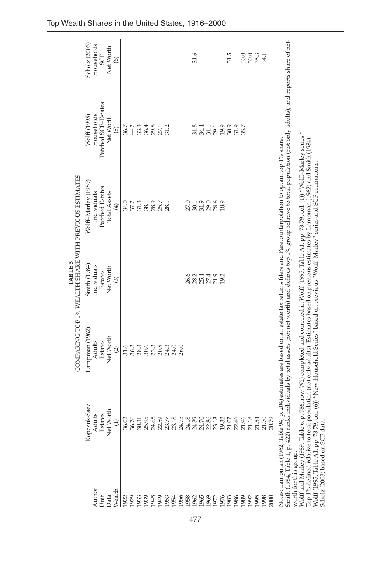|                                                                                                                                                                      |                |                                | <b>TABLE 5</b>                        | COMPARING TOP 1% WEALTH SHARE WITH PREVIOUS ESTIMATES                                                                                                                                                                                                                                                                                                                                                                                                                                                                                                                                                                                                             |                                        |                      |
|----------------------------------------------------------------------------------------------------------------------------------------------------------------------|----------------|--------------------------------|---------------------------------------|-------------------------------------------------------------------------------------------------------------------------------------------------------------------------------------------------------------------------------------------------------------------------------------------------------------------------------------------------------------------------------------------------------------------------------------------------------------------------------------------------------------------------------------------------------------------------------------------------------------------------------------------------------------------|----------------------------------------|----------------------|
|                                                                                                                                                                      | Kopczuk-Saez   | Lampman (1962)                 | Smith (1984)                          | Wolff-Marley (1989)                                                                                                                                                                                                                                                                                                                                                                                                                                                                                                                                                                                                                                               | Wolff (1995)                           | Scholz (2003)        |
| Author                                                                                                                                                               | Adults         | Adults                         | Individuals                           | Individuals                                                                                                                                                                                                                                                                                                                                                                                                                                                                                                                                                                                                                                                       | Households                             | Households           |
| Unit                                                                                                                                                                 | Estates        | Estates                        | Estates                               | Patched Estates                                                                                                                                                                                                                                                                                                                                                                                                                                                                                                                                                                                                                                                   | Patched SCF-Estates                    | <b>SCF</b>           |
| Data                                                                                                                                                                 | Net Worth      | Net Worth                      | Net Worth                             | <b>Total Assets</b>                                                                                                                                                                                                                                                                                                                                                                                                                                                                                                                                                                                                                                               | Net Worth                              | Net Worth            |
| Wealth                                                                                                                                                               | $\Xi$          | $\odot$                        | $\widehat{\circ}$                     | $\widehat{E}$                                                                                                                                                                                                                                                                                                                                                                                                                                                                                                                                                                                                                                                     | $\widehat{5}$                          | $\circledcirc$       |
| 1922                                                                                                                                                                 | 36.02          | 31.6                           |                                       | 34.0                                                                                                                                                                                                                                                                                                                                                                                                                                                                                                                                                                                                                                                              | 36.7                                   |                      |
| 1929                                                                                                                                                                 | 36.76          | 36.3                           |                                       |                                                                                                                                                                                                                                                                                                                                                                                                                                                                                                                                                                                                                                                                   |                                        |                      |
| 1933                                                                                                                                                                 | 30.31          |                                |                                       | 37 33<br>37 38<br>38 38                                                                                                                                                                                                                                                                                                                                                                                                                                                                                                                                                                                                                                           |                                        |                      |
| 1939                                                                                                                                                                 | ம<br>25.9      | n 9 m 8 m 0 0<br>8 8 8 8 4 4 8 |                                       |                                                                                                                                                                                                                                                                                                                                                                                                                                                                                                                                                                                                                                                                   | 234812<br>1138221                      |                      |
| 1945                                                                                                                                                                 | 24.65          |                                |                                       | 28.9                                                                                                                                                                                                                                                                                                                                                                                                                                                                                                                                                                                                                                                              |                                        |                      |
| 1949                                                                                                                                                                 | 22.59          |                                |                                       | 25.7                                                                                                                                                                                                                                                                                                                                                                                                                                                                                                                                                                                                                                                              |                                        |                      |
| 1953                                                                                                                                                                 | 23.77          |                                |                                       | 28.1                                                                                                                                                                                                                                                                                                                                                                                                                                                                                                                                                                                                                                                              |                                        |                      |
| 1954                                                                                                                                                                 | 23.18          |                                |                                       |                                                                                                                                                                                                                                                                                                                                                                                                                                                                                                                                                                                                                                                                   |                                        |                      |
| 1956                                                                                                                                                                 | 24.75          |                                |                                       |                                                                                                                                                                                                                                                                                                                                                                                                                                                                                                                                                                                                                                                                   |                                        |                      |
| 1958                                                                                                                                                                 | 24.18          |                                |                                       |                                                                                                                                                                                                                                                                                                                                                                                                                                                                                                                                                                                                                                                                   |                                        |                      |
| 1962                                                                                                                                                                 | 24.39          |                                |                                       |                                                                                                                                                                                                                                                                                                                                                                                                                                                                                                                                                                                                                                                                   |                                        | 31.6                 |
| 1965                                                                                                                                                                 | 24.70          |                                |                                       |                                                                                                                                                                                                                                                                                                                                                                                                                                                                                                                                                                                                                                                                   |                                        |                      |
| 1969                                                                                                                                                                 |                |                                |                                       |                                                                                                                                                                                                                                                                                                                                                                                                                                                                                                                                                                                                                                                                   |                                        |                      |
| 1972                                                                                                                                                                 | 22.86<br>23.13 |                                | 6 2 3 4 4 9<br>8 8 5 7 1<br>8 8 8 7 1 | 0.1908<br>2008                                                                                                                                                                                                                                                                                                                                                                                                                                                                                                                                                                                                                                                    |                                        |                      |
| 1976                                                                                                                                                                 | 19.32          |                                | 19.2                                  | 18.9                                                                                                                                                                                                                                                                                                                                                                                                                                                                                                                                                                                                                                                              |                                        |                      |
| 1983                                                                                                                                                                 | $21.07\,$      |                                |                                       |                                                                                                                                                                                                                                                                                                                                                                                                                                                                                                                                                                                                                                                                   |                                        | 31.5                 |
| 1986                                                                                                                                                                 | 22.66          |                                |                                       |                                                                                                                                                                                                                                                                                                                                                                                                                                                                                                                                                                                                                                                                   | 8 3 4 5 5 9 9 9 5<br>5 3 5 8 9 9 5 5 9 |                      |
| 1989                                                                                                                                                                 | 21.96          |                                |                                       |                                                                                                                                                                                                                                                                                                                                                                                                                                                                                                                                                                                                                                                                   |                                        | 30.0                 |
| 1992                                                                                                                                                                 | 21.18          |                                |                                       |                                                                                                                                                                                                                                                                                                                                                                                                                                                                                                                                                                                                                                                                   |                                        | 30.0<br>35.3<br>34.1 |
| 1995                                                                                                                                                                 | 21.54          |                                |                                       |                                                                                                                                                                                                                                                                                                                                                                                                                                                                                                                                                                                                                                                                   |                                        |                      |
| 1998                                                                                                                                                                 | 21.70          |                                |                                       |                                                                                                                                                                                                                                                                                                                                                                                                                                                                                                                                                                                                                                                                   |                                        |                      |
| 2000                                                                                                                                                                 | 20.79          |                                |                                       |                                                                                                                                                                                                                                                                                                                                                                                                                                                                                                                                                                                                                                                                   |                                        |                      |
| Wolff and Marley (1989, Table 6,<br>Scholz (2003) based on SCF data<br>Smith (1984, Table 1, p. 422) ran<br>Top 1% defined relative to total<br>worth for this group |                |                                |                                       | ks individuals by total assets (not net worth) and defines top 1% group relative to total population (not only adults), and reports share of net-<br>p. 786, row W2) completed and corrected in Wolff (1995, Table A1, pp. 78-79, col. (1)) "Wolff-Marley series."<br>population (not only adults). Estimates based on previous estimates by Lampman (1962) and Smith (1984).<br>Notes: Lampman (1962, Table 94, p. 204) estimates are based on all estate tax returns filers and Pareto interpolation to optain top 1% share.<br>Wolff (1995, Table A1, pp. 78-79, col. (6)) "New Household Series" based on previous "Wolff-Marley" series and SCF estimations. |                                        |                      |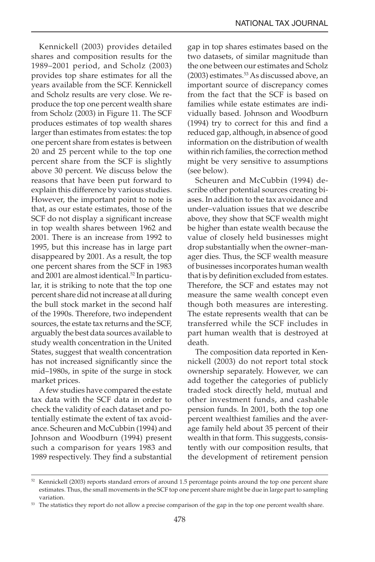Kennickell (2003) provides detailed shares and composition results for the 1989–2001 period, and Scholz (2003) provides top share estimates for all the years available from the SCF. Kennickell and Scholz results are very close. We reproduce the top one percent wealth share from Scholz (2003) in Figure 11. The SCF produces estimates of top wealth shares larger than estimates from estates: the top one percent share from estates is between 20 and 25 percent while to the top one percent share from the SCF is slightly above 30 percent. We discuss below the reasons that have been put forward to explain this difference by various studies. However, the important point to note is that, as our estate estimates, those of the SCF do not display a significant increase in top wealth shares between 1962 and 2001. There is an increase from 1992 to 1995, but this increase has in large part disappeared by 2001. As a result, the top one percent shares from the SCF in 1983 and 2001 are almost identical.<sup>52</sup> In particular, it is striking to note that the top one percent share did not increase at all during the bull stock market in the second half of the 1990s. Therefore, two independent sources, the estate tax returns and the SCF, arguably the best data sources available to study wealth concentration in the United States, suggest that wealth concentration has not increased significantly since the mid–1980s, in spite of the surge in stock market prices.

A few studies have compared the estate tax data with the SCF data in order to check the validity of each dataset and potentially estimate the extent of tax avoidance. Scheuren and McCubbin (1994) and Johnson and Woodburn (1994) present such a comparison for years 1983 and 1989 respectively. They find a substantial

gap in top shares estimates based on the two datasets, of similar magnitude than the one between our estimates and Scholz (2003) estimates.<sup>53</sup> As discussed above, an important source of discrepancy comes from the fact that the SCF is based on families while estate estimates are individually based. Johnson and Woodburn (1994) try to correct for this and find a reduced gap, although, in absence of good information on the distribution of wealth within rich families, the correction method might be very sensitive to assumptions (see below).

Scheuren and McCubbin (1994) describe other potential sources creating biases. In addition to the tax avoidance and under–valuation issues that we describe above, they show that SCF wealth might be higher than estate wealth because the value of closely held businesses might drop substantially when the owner–manager dies. Thus, the SCF wealth measure of businesses incorporates human wealth that is by definition excluded from estates. Therefore, the SCF and estates may not measure the same wealth concept even though both measures are interesting. The estate represents wealth that can be transferred while the SCF includes in part human wealth that is destroyed at death.

The composition data reported in Kennickell (2003) do not report total stock ownership separately. However, we can add together the categories of publicly traded stock directly held, mutual and other investment funds, and cashable pension funds. In 2001, both the top one percent wealthiest families and the average family held about 35 percent of their wealth in that form. This suggests, consistently with our composition results, that the development of retirement pension

 $52$  Kennickell (2003) reports standard errors of around 1.5 percentage points around the top one percent share estimates. Thus, the small movements in the SCF top one percent share might be due in large part to sampling variation.

<sup>&</sup>lt;sup>53</sup> The statistics they report do not allow a precise comparison of the gap in the top one percent wealth share.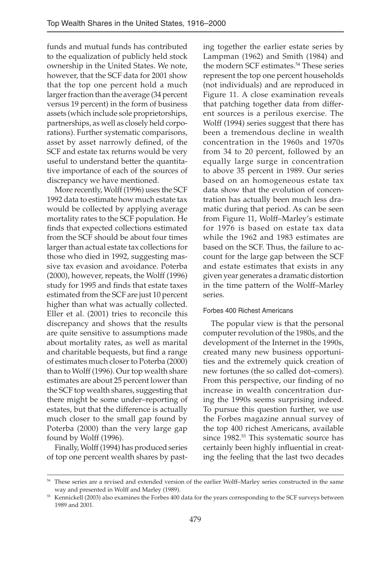funds and mutual funds has contributed to the equalization of publicly held stock ownership in the United States. We note, however, that the SCF data for 2001 show that the top one percent hold a much larger fraction than the average (34 percent versus 19 percent) in the form of business assets (which include sole proprietorships, partnerships, as well as closely held corporations). Further systematic comparisons, asset by asset narrowly defined, of the SCF and estate tax returns would be very useful to understand better the quantitative importance of each of the sources of discrepancy we have mentioned.

More recently, Wolff (1996) uses the SCF 1992 data to estimate how much estate tax would be collected by applying average mortality rates to the SCF population. He finds that expected collections estimated from the SCF should be about four times larger than actual estate tax collections for those who died in 1992, suggesting massive tax evasion and avoidance. Poterba (2000), however, repeats, the Wolff (1996) study for 1995 and finds that estate taxes estimated from the SCF are just 10 percent higher than what was actually collected. Eller et al. (2001) tries to reconcile this discrepancy and shows that the results are quite sensitive to assumptions made about mortality rates, as well as marital and charitable bequests, but find a range of estimates much closer to Poterba (2000) than to Wolff (1996). Our top wealth share estimates are about 25 percent lower than the SCF top wealth shares, suggesting that there might be some under–reporting of estates, but that the difference is actually much closer to the small gap found by Poterba (2000) than the very large gap found by Wolff (1996).

Finally, Wolff (1994) has produced series of top one percent wealth shares by past-

ing together the earlier estate series by Lampman (1962) and Smith (1984) and the modern SCF estimates.<sup>54</sup> These series represent the top one percent households (not individuals) and are reproduced in Figure 11. A close examination reveals that patching together data from different sources is a perilous exercise. The Wolff (1994) series suggest that there has been a tremendous decline in wealth concentration in the 1960s and 1970s from 34 to 20 percent, followed by an equally large surge in concentration to above 35 percent in 1989. Our series based on an homogeneous estate tax data show that the evolution of concentration has actually been much less dramatic during that period. As can be seen from Figure 11, Wolff–Marley's estimate for 1976 is based on estate tax data while the 1962 and 1983 estimates are based on the SCF. Thus, the failure to account for the large gap between the SCF and estate estimates that exists in any given year generates a dramatic distortion in the time pattern of the Wolff–Marley series.

#### Forbes 400 Richest Americans

The popular view is that the personal computer revolution of the 1980s, and the development of the Internet in the 1990s, created many new business opportunities and the extremely quick creation of new fortunes (the so called dot–comers). From this perspective, our finding of no increase in wealth concentration during the 1990s seems surprising indeed. To pursue this question further, we use the Forbes magazine annual survey of the top 400 richest Americans, available since 1982.<sup>55</sup> This systematic source has certainly been highly influential in creating the feeling that the last two decades

<sup>54</sup> These series are a revised and extended version of the earlier Wolff–Marley series constructed in the same way and presented in Wolff and Marley (1989).

<sup>55</sup> Kennickell (2003) also examines the Forbes 400 data for the years corresponding to the SCF surveys between 1989 and 2001.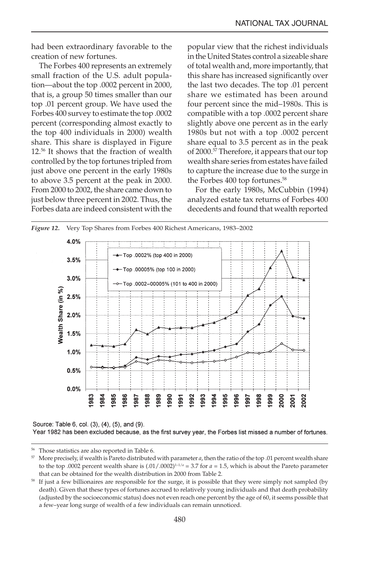had been extraordinary favorable to the creation of new fortunes.

The Forbes 400 represents an extremely small fraction of the U.S. adult population—about the top .0002 percent in 2000, that is, a group 50 times smaller than our top .01 percent group. We have used the Forbes 400 survey to estimate the top .0002 percent (corresponding almost exactly to the top 400 individuals in 2000) wealth share. This share is displayed in Figure 12.56 It shows that the fraction of wealth controlled by the top fortunes tripled from just above one percent in the early 1980s to above 3.5 percent at the peak in 2000. From 2000 to 2002, the share came down to just below three percent in 2002. Thus, the Forbes data are indeed consistent with the

popular view that the richest individuals in the United States control a sizeable share of total wealth and, more importantly, that this share has increased significantly over the last two decades. The top .01 percent share we estimated has been around four percent since the mid–1980s. This is compatible with a top .0002 percent share slightly above one percent as in the early 1980s but not with a top .0002 percent share equal to 3.5 percent as in the peak of 2000.57 Therefore, it appears that our top wealth share series from estates have failed to capture the increase due to the surge in the Forbes 400 top fortunes.<sup>58</sup>

For the early 1980s, McCubbin (1994) analyzed estate tax returns of Forbes 400 decedents and found that wealth reported



Source: Table 6, col. (3), (4), (5), and (9).

Year 1982 has been excluded because, as the first survey year, the Forbes list missed a number of fortunes.

<sup>56</sup> Those statistics are also reported in Table 6.

<sup>57</sup> More precisely, if wealth is Pareto distributed with parameter *a*, then the ratio of the top .01 percent wealth share to the top .0002 percent wealth share is  $(.01/.0002)^{1-1/a} = 3.7$  for  $a = 1.5$ , which is about the Pareto parameter that can be obtained for the wealth distribution in 2000 from Table 2.

<sup>&</sup>lt;sup>58</sup> If just a few billionaires are responsible for the surge, it is possible that they were simply not sampled (by death). Given that these types of fortunes accrued to relatively young individuals and that death probability (adjusted by the socioeconomic status) does not even reach one percent by the age of 60, it seems possible that a few–year long surge of wealth of a few individuals can remain unnoticed.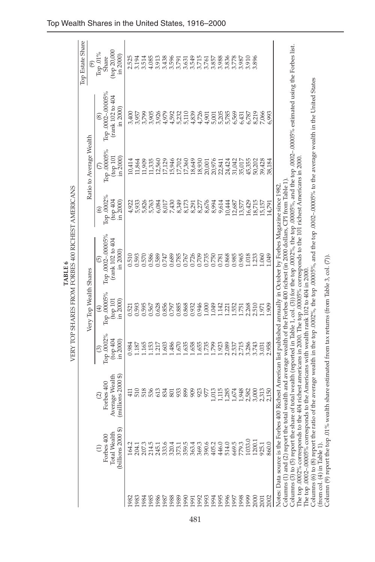|                            |                                                                                                     |                                                                      |                                              |                                               | VERY TOP SHARES FROM FORBES 400 RICHEST AMERICANS<br><b>TABLE 6</b>                                                                |                                      |                                             |                                                                                                                                                                                    |                                             |
|----------------------------|-----------------------------------------------------------------------------------------------------|----------------------------------------------------------------------|----------------------------------------------|-----------------------------------------------|------------------------------------------------------------------------------------------------------------------------------------|--------------------------------------|---------------------------------------------|------------------------------------------------------------------------------------------------------------------------------------------------------------------------------------|---------------------------------------------|
|                            |                                                                                                     |                                                                      |                                              | Very Top Wealth Shares                        |                                                                                                                                    |                                      | Ratio to Average Wealth                     |                                                                                                                                                                                    | Top Estate Share<br>$\circledcirc$          |
|                            | $\binom{b}{1}$ lions 2000 \$<br><b>Total Wealth</b><br>Forbes 400                                   | Average Wealth<br>$(millions 2000$ \$<br>Forbes 400<br>$\widehat{c}$ | Top .0002%<br>$(100 \ 404)$<br>in 2000)<br>ල | Top.00005%<br>top 101<br>in 2000)<br>$\oplus$ | Top.0002-.00005%<br>(rank 102 to 404<br>in 2000)<br>6                                                                              | Тор.0002%<br>(1004)<br>in 2000)<br>⊚ | Top .00005%<br>(top 101<br>$\sin 2000$<br>E | Top .0002-.00005%<br>(rank 102 to 404<br>in 2000)<br>$\circledS$                                                                                                                   | (top 20,000<br>Гор.01%<br>in 2000)<br>Share |
| 1982                       | 164.2                                                                                               | $\overline{41}$                                                      | 0.984                                        | 0.521                                         | 0.510                                                                                                                              | 4,922                                | 10,414                                      | 3,400                                                                                                                                                                              | 2.525                                       |
| 1983                       | 204.                                                                                                | 510                                                                  | 187                                          | 0.593                                         | 0.593                                                                                                                              | 5,933                                | 11,864                                      | 3,957                                                                                                                                                                              | 3.194                                       |
| 1984                       | 207.3                                                                                               | 518                                                                  | 1.165                                        | 0.595                                         | 0.570                                                                                                                              | 5,826                                | 11,909                                      | 3,799                                                                                                                                                                              | 3.514                                       |
| 1985                       | 214.5                                                                                               | 536                                                                  | 1.153                                        | 0.567                                         | 0.586                                                                                                                              | 5,763                                | 11,335                                      | 3,905                                                                                                                                                                              | 4.085                                       |
| 1986                       | 245.1                                                                                               | 613                                                                  | 1.217                                        | 0.628                                         | 0.589                                                                                                                              | 6,084                                | 12,560                                      | 3,926                                                                                                                                                                              | 3.913                                       |
| 1987                       | 333.6                                                                                               | 834                                                                  | 1.603                                        | 0.856                                         | 0.747                                                                                                                              | 8,017                                | 17,129                                      | 4,979                                                                                                                                                                              | 3.438                                       |
| 1988                       | 320.4                                                                                               | 801                                                                  | 1.486                                        | 0.797                                         | 0.689                                                                                                                              | 7,430                                | 15,946                                      | 4,592                                                                                                                                                                              | 3.596                                       |
| 1989                       | 373.1<br>359.5                                                                                      | 933                                                                  | 1.670                                        | 0.885                                         | 0.785                                                                                                                              | 8,349                                | 17,702                                      | 5,232                                                                                                                                                                              | 3.791                                       |
| 1990                       |                                                                                                     | 899                                                                  | 1.635                                        | 0.868                                         | 0.767                                                                                                                              | 8,173                                | 17,360                                      | 5,110                                                                                                                                                                              | 3.631                                       |
| 1991                       | 363.4                                                                                               | 885                                                                  | 1.658                                        | 0.932                                         | 0.726<br>0.755<br>0.00                                                                                                             | 8,291                                | 18,649                                      | 4,839                                                                                                                                                                              | 3.549<br>3.715<br>3.761                     |
| 1992                       | 369.3                                                                                               |                                                                      | 1.655                                        | 0.946                                         |                                                                                                                                    | 8,277                                |                                             | 4,726                                                                                                                                                                              |                                             |
| 1993                       | 390.6                                                                                               |                                                                      |                                              | 1.000                                         |                                                                                                                                    | 8,676                                | $18,930$<br>$20,001$                        | 4,901                                                                                                                                                                              |                                             |
| 1994                       | 405.2                                                                                               | 1,013                                                                | 1.799                                        | 1.049                                         |                                                                                                                                    | 8,994                                | 20,976                                      | 5,001                                                                                                                                                                              | 3.857                                       |
| 1995                       | 446.0                                                                                               | 1,115                                                                | 1.923                                        | 1.142                                         | 0.781                                                                                                                              | 9,614                                | 22,841                                      | 5,205                                                                                                                                                                              | 3.988                                       |
| 1996                       | 514.0                                                                                               | 1,285                                                                | 2.089                                        | 1.221                                         | 0.868                                                                                                                              | 10,444                               | 24,424                                      | 5,785                                                                                                                                                                              | 3.836                                       |
| 1997                       | 669.5                                                                                               | 1,674                                                                | 2.537                                        | 1.552                                         | 0.985                                                                                                                              | 12,687                               | 31,042                                      | 6,569                                                                                                                                                                              | 3.778                                       |
| 1998                       | 779.3                                                                                               | 1,948                                                                | 2.715                                        | 1.751                                         | 0.965                                                                                                                              | 13,577                               | 35,017                                      | 6,431                                                                                                                                                                              | 3.987                                       |
| 1999                       | 1033.0                                                                                              | 2,582                                                                | 3.286                                        | 2.268                                         | 1.018                                                                                                                              | 16,429                               | 45,355                                      | 6,787                                                                                                                                                                              | 3.910                                       |
| 2000                       | 1200.                                                                                               | 3,000                                                                | 3.743                                        | 2.510                                         | 1.233                                                                                                                              | 18,715                               | 50,202                                      | 8,219                                                                                                                                                                              | 3.896                                       |
| 2001                       | 925.1                                                                                               | 2,313                                                                | 3.031                                        | 1.971                                         | .060                                                                                                                               | 15,157                               | 39,428                                      | 7,066                                                                                                                                                                              |                                             |
| 2002                       | 860.0                                                                                               | 2,150                                                                | 2.958                                        | 1.909                                         | <b>GFO</b>                                                                                                                         | 14,791                               | 38,184                                      | 5,993                                                                                                                                                                              |                                             |
|                            |                                                                                                     |                                                                      |                                              |                                               | Notes: Data source is the Forbes 400 Richest American list published annually in October by Forbes Magazine since 1982.            |                                      |                                             |                                                                                                                                                                                    |                                             |
|                            |                                                                                                     |                                                                      |                                              |                                               | Columns (1) and (2) report the total wealth and average wealth of the Forbes 400 richest (in 2000 dollars, CPI from Table 1).      |                                      |                                             | Columns (3) to (5) report the share of total wealth (reported in Table 1, col. (3)) for the top $0002\%$ , the top $00005\%$ and the top $0002\%$ estimated using the Forbes list. |                                             |
|                            | The top .0002-.00005% corresponds to the Americans with wealth rank 102 to 404 in 2000              |                                                                      |                                              |                                               | The top .0002% corresponds to the 404 richest americans in 2000. The top .00005% corresponds to the 101 richest Americans in 2000. |                                      |                                             |                                                                                                                                                                                    |                                             |
|                            |                                                                                                     |                                                                      |                                              |                                               |                                                                                                                                    |                                      |                                             | Columns (6) to (8) report the ratio of the average wealth in the top $.0002\%$ , the top $.00005\%$ , and the top $.00002-00005\%$ to the average wealth in the United States      |                                             |
| (from col. (4) in Table 1) | Column (9) report the top .01% wealth share estimated from tax returns (from Table 3, col. $(7)$ ). |                                                                      |                                              |                                               |                                                                                                                                    |                                      |                                             |                                                                                                                                                                                    |                                             |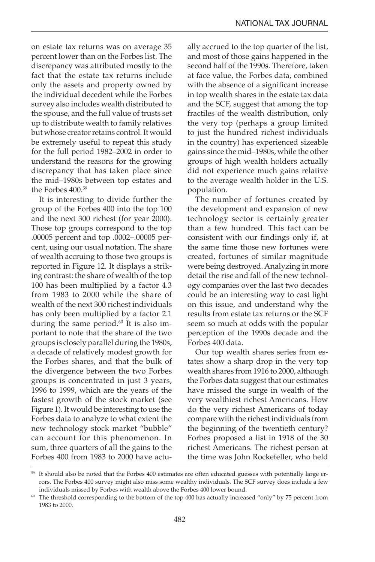on estate tax returns was on average 35 percent lower than on the Forbes list. The discrepancy was attributed mostly to the fact that the estate tax returns include only the assets and property owned by the individual decedent while the Forbes survey also includes wealth distributed to the spouse, and the full value of trusts set up to distribute wealth to family relatives but whose creator retains control. It would be extremely useful to repeat this study for the full period 1982–2002 in order to understand the reasons for the growing discrepancy that has taken place since the mid–1980s between top estates and the Forbes 400.59

It is interesting to divide further the group of the Forbes 400 into the top 100 and the next 300 richest (for year 2000). Those top groups correspond to the top .00005 percent and top .0002–.00005 percent, using our usual notation. The share of wealth accruing to those two groups is reported in Figure 12. It displays a striking contrast: the share of wealth of the top 100 has been multiplied by a factor 4.3 from 1983 to 2000 while the share of wealth of the next 300 richest individuals has only been multiplied by a factor 2.1 during the same period. $60$  It is also important to note that the share of the two groups is closely parallel during the 1980s, a decade of relatively modest growth for the Forbes shares, and that the bulk of the divergence between the two Forbes groups is concentrated in just 3 years, 1996 to 1999, which are the years of the fastest growth of the stock market (see Figure 1). It would be interesting to use the Forbes data to analyze to what extent the new technology stock market "bubble" can account for this phenomenon. In sum, three quarters of all the gains to the Forbes 400 from 1983 to 2000 have actually accrued to the top quarter of the list, and most of those gains happened in the second half of the 1990s. Therefore, taken at face value, the Forbes data, combined with the absence of a significant increase in top wealth shares in the estate tax data and the SCF, suggest that among the top fractiles of the wealth distribution, only the very top (perhaps a group limited to just the hundred richest individuals in the country) has experienced sizeable gains since the mid–1980s, while the other groups of high wealth holders actually did not experience much gains relative to the average wealth holder in the U.S. population.

The number of fortunes created by the development and expansion of new technology sector is certainly greater than a few hundred. This fact can be consistent with our findings only if, at the same time those new fortunes were created, fortunes of similar magnitude were being destroyed. Analyzing in more detail the rise and fall of the new technology companies over the last two decades could be an interesting way to cast light on this issue, and understand why the results from estate tax returns or the SCF seem so much at odds with the popular perception of the 1990s decade and the Forbes 400 data.

Our top wealth shares series from estates show a sharp drop in the very top wealth shares from 1916 to 2000, although the Forbes data suggest that our estimates have missed the surge in wealth of the very wealthiest richest Americans. How do the very richest Americans of today compare with the richest individuals from the beginning of the twentieth century? Forbes proposed a list in 1918 of the 30 richest Americans. The richest person at the time was John Rockefeller, who held

<sup>&</sup>lt;sup>59</sup> It should also be noted that the Forbes 400 estimates are often educated guesses with potentially large errors. The Forbes 400 survey might also miss some wealthy individuals. The SCF survey does include a few individuals missed by Forbes with wealth above the Forbes 400 lower bound.

<sup>60</sup> The threshold corresponding to the bottom of the top 400 has actually increased "only" by 75 percent from 1983 to 2000.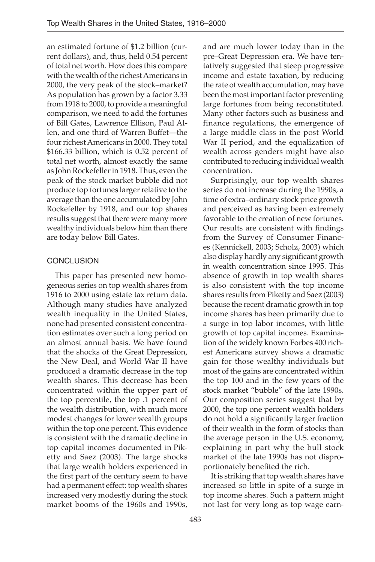an estimated fortune of \$1.2 billion (current dollars), and, thus, held 0.54 percent of total net worth. How does this compare with the wealth of the richest Americans in 2000, the very peak of the stock–market? As population has grown by a factor 3.33 from 1918 to 2000, to provide a meaningful comparison, we need to add the fortunes of Bill Gates, Lawrence Ellison, Paul Allen, and one third of Warren Buffet—the four richest Americans in 2000. They total \$166.33 billion, which is 0.52 percent of total net worth, almost exactly the same as John Rockefeller in 1918. Thus, even the peak of the stock market bubble did not produce top fortunes larger relative to the average than the one accumulated by John Rockefeller by 1918, and our top shares results suggest that there were many more wealthy individuals below him than there are today below Bill Gates.

## **CONCLUSION**

This paper has presented new homogeneous series on top wealth shares from 1916 to 2000 using estate tax return data. Although many studies have analyzed wealth inequality in the United States, none had presented consistent concentration estimates over such a long period on an almost annual basis. We have found that the shocks of the Great Depression, the New Deal, and World War II have produced a dramatic decrease in the top wealth shares. This decrease has been concentrated within the upper part of the top percentile, the top .1 percent of the wealth distribution, with much more modest changes for lower wealth groups within the top one percent. This evidence is consistent with the dramatic decline in top capital incomes documented in Piketty and Saez (2003). The large shocks that large wealth holders experienced in the first part of the century seem to have had a permanent effect: top wealth shares increased very modestly during the stock market booms of the 1960s and 1990s,

and are much lower today than in the pre–Great Depression era. We have tentatively suggested that steep progressive income and estate taxation, by reducing the rate of wealth accumulation, may have been the most important factor preventing large fortunes from being reconstituted. Many other factors such as business and finance regulations, the emergence of a large middle class in the post World War II period, and the equalization of wealth across genders might have also contributed to reducing individual wealth concentration.

Surprisingly, our top wealth shares series do not increase during the 1990s, a time of extra–ordinary stock price growth and perceived as having been extremely favorable to the creation of new fortunes. Our results are consistent with findings from the Survey of Consumer Finances (Kennickell, 2003; Scholz, 2003) which also display hardly any significant growth in wealth concentration since 1995. This absence of growth in top wealth shares is also consistent with the top income shares results from Piketty and Saez (2003) because the recent dramatic growth in top income shares has been primarily due to a surge in top labor incomes, with little growth of top capital incomes. Examination of the widely known Forbes 400 richest Americans survey shows a dramatic gain for those wealthy individuals but most of the gains are concentrated within the top 100 and in the few years of the stock market "bubble" of the late 1990s. Our composition series suggest that by 2000, the top one percent wealth holders do not hold a significantly larger fraction of their wealth in the form of stocks than the average person in the U.S. economy, explaining in part why the bull stock market of the late 1990s has not disproportionately benefited the rich.

It is striking that top wealth shares have increased so little in spite of a surge in top income shares. Such a pattern might not last for very long as top wage earn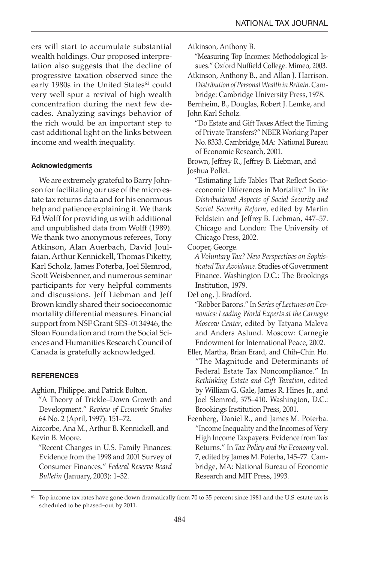ers will start to accumulate substantial wealth holdings. Our proposed interpretation also suggests that the decline of progressive taxation observed since the early 1980s in the United States<sup>61</sup> could very well spur a revival of high wealth concentration during the next few decades. Analyzing savings behavior of the rich would be an important step to cast additional light on the links between income and wealth inequality.

## **Acknowledgments**

We are extremely grateful to Barry Johnson for facilitating our use of the micro estate tax returns data and for his enormous help and patience explaining it. We thank Ed Wolff for providing us with additional and unpublished data from Wolff (1989). We thank two anonymous referees, Tony Atkinson, Alan Auerbach, David Joulfaian, Arthur Kennickell, Thomas Piketty, Karl Scholz, James Poterba, Joel Slemrod, Scott Weisbenner, and numerous seminar participants for very helpful comments and discussions. Jeff Liebman and Jeff Brown kindly shared their socioeconomic mortality differential measures. Financial support from NSF Grant SES–0134946, the Sloan Foundation and from the Social Sciences and Humanities Research Council of Canada is gratefully acknowledged.

### **REFERENCES**

Aghion, Philippe, and Patrick Bolton.

 "A Theory of Trickle–Down Growth and Development." *Review of Economic Studies* 64 No. 2 (April, 1997): 151–72.

Aizcorbe, Ana M., Arthur B. Kennickell, and Kevin B. Moore.

 "Recent Changes in U.S. Family Finances: Evidence from the 1998 and 2001 Survey of Consumer Finances." *Federal Reserve Board Bulletin* (January, 2003): 1–32.

Atkinson, Anthony B.

"Measuring Top Incomes: Methodological Issues." Oxford Nuffield College. Mimeo, 2003.

Atkinson, Anthony B., and Allan J. Harrison. *Distribution of Personal Wealth in Britain*. Cambridge: Cambridge University Press, 1978.

Bernheim, B., Douglas, Robert J. Lemke, and John Karl Scholz.

 "Do Estate and Gift Taxes Affect the Timing of Private Transfers?" NBER Working Paper No. 8333. Cambridge, MA: National Bureau of Economic Research, 2001.

Brown, Jeffrey R., Jeffrey B. Liebman, and Joshua Pollet.

 "Estimating Life Tables That Reflect Socioeconomic Differences in Mortality." In *The Distributional Aspects of Social Security and Social Security Reform*, edited by Martin Feldstein and Jeffrey B. Liebman, 447–57. Chicago and London: The University of Chicago Press, 2002.

Cooper, George.

*A Voluntary Tax? New Perspectives on Sophisticated Tax Avoidance.* Studies of Government Finance. Washington D.C.: The Brookings Institution, 1979.

DeLong, J. Bradford.

 "Robber Barons." In *Series of Lectures on Economics: Leading World Experts at the Carnegie Moscow Center*, edited by Tatyana Maleva and Anders Aslund. Moscow: Carnegie Endowment for International Peace, 2002.

Eller, Martha, Brian Erard, and Chih–Chin Ho. "The Magnitude and Determinants of Federal Estate Tax Noncompliance." In *Rethinking Estate and Gift Taxation*, edited by William G. Gale, James R. Hines Jr., and Joel Slemrod, 375–410. Washington, D.C.: Brookings Institution Press, 2001.

Feenberg, Daniel R., and James M. Poterba. "Income Inequality and the Incomes of Very High Income Taxpayers: Evidence from Tax Returns." In *Tax Policy and the Economy* vol. 7, edited by James M. Poterba, 145–77. Cambridge, MA: National Bureau of Economic Research and MIT Press, 1993.

<sup>&</sup>lt;sup>61</sup> Top income tax rates have gone down dramatically from 70 to 35 percent since 1981 and the U.S. estate tax is scheduled to be phased–out by 2011.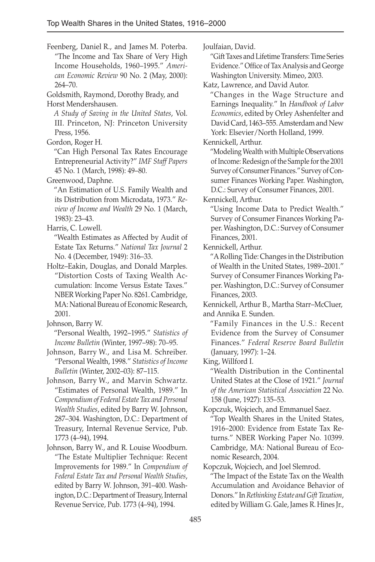Feenberg, Daniel R., and James M. Poterba. "The Income and Tax Share of Very High Income Households, 1960–1995." *American Economic Review* 90 No. 2 (May, 2000): 264–70.

Goldsmith, Raymond, Dorothy Brady, and

Horst Mendershausen.

*A Study of Saving in the United States*, Vol. III. Princeton, NJ: Princeton University Press, 1956.

Gordon, Roger H.

 "Can High Personal Tax Rates Encourage Entrepreneurial Activity?" *IMF Staff Papers* 45 No. 1 (March, 1998): 49–80.

Greenwood, Daphne.

 "An Estimation of U.S. Family Wealth and its Distribution from Microdata, 1973." *Review of Income and Wealth* 29 No. 1 (March, 1983): 23–43.

Harris, C. Lowell.

 "Wealth Estimates as Affected by Audit of Estate Tax Returns." *National Tax Journal* 2 No. 4 (December, 1949): 316–33.

Holtz–Eakin, Douglas, and Donald Marples. "Distortion Costs of Taxing Wealth Accumulation: Income Versus Estate Taxes." NBER Working Paper No. 8261. Cambridge, MA: National Bureau of Economic Research, 2001.

Johnson, Barry W.

 "Personal Wealth, 1992–1995." *Statistics of Income Bulletin* (Winter, 1997–98): 70–95.

Johnson, Barry W., and Lisa M. Schreiber. "Personal Wealth, 1998." *Statistics of Income Bulletin* (Winter, 2002–03): 87–115.

Johnson, Barry W., and Marvin Schwartz. "Estimates of Personal Wealth, 1989." In *Compendium of Federal Estate Tax and Personal Wealth Studies*, edited by Barry W. Johnson, 287–304. Washington, D.C.: Department of Treasury, Internal Revenue Service, Pub. 1773 (4–94), 1994.

Johnson, Barry W., and R. Louise Woodburn. "The Estate Multiplier Technique: Recent Improvements for 1989." In *Compendium of Federal Estate Tax and Personal Wealth Studies*, edited by Barry W. Johnson, 391–400. Washington, D.C.: Department of Treasury, Internal Revenue Service, Pub. 1773 (4–94), 1994.

Joulfaian, David.

"Gift Taxes and Lifetime Transfers: Time Series Evidence." Office of Tax Analysis and George Washington University. Mimeo, 2003.

Katz, Lawrence, and David Autor.

 "Changes in the Wage Structure and Earnings Inequality." In *Handbook of Labor Economics*, edited by Orley Ashenfelter and David Card, 1463–555. Amsterdam and New York: Elsevier/North Holland, 1999.

Kennickell, Arthur.

"Modeling Wealth with Multiple Observations of Income: Redesign of the Sample for the 2001 Survey of Consumer Finances." Survey of Consumer Finances Working Paper. Washington, D.C.: Survey of Consumer Finances, 2001.

Kennickell, Arthur.

 "Using Income Data to Predict Wealth." Survey of Consumer Finances Working Paper. Washington, D.C.: Survey of Consumer Finances, 2001.

Kennickell, Arthur.

 "A Rolling Tide: Changes in the Distribution of Wealth in the United States, 1989–2001." Survey of Consumer Finances Working Paper. Washington, D.C.: Survey of Consumer Finances, 2003.

Kennickell, Arthur B., Martha Starr–McCluer, and Annika E. Sunden.

 "Family Finances in the U.S.: Recent Evidence from the Survey of Consumer Finances." *Federal Reserve Board Bulletin* (January, 1997): 1–24.

King, Willford I.

 "Wealth Distribution in the Continental United States at the Close of 1921." *Journal of the American Statistical Association* 22 No. 158 (June, 1927): 135–53.

Kopczuk, Wojciech, and Emmanuel Saez.

 "Top Wealth Shares in the United States, 1916–2000: Evidence from Estate Tax Returns." NBER Working Paper No. 10399. Cambridge, MA: National Bureau of Economic Research, 2004.

Kopczuk, Wojciech, and Joel Slemrod.

"The Impact of the Estate Tax on the Wealth Accumulation and Avoidance Behavior of Donors." In *Rethinking Estate and Gift Taxation*, edited by William G. Gale, James R. Hines Jr.,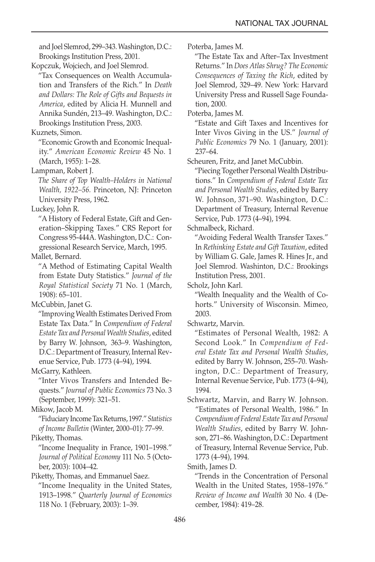and Joel Slemrod, 299–343. Washington, D.C.: Brookings Institution Press, 2001.

Kopczuk, Wojciech, and Joel Slemrod.

 "Tax Consequences on Wealth Accumulation and Transfers of the Rich." In *Death and Dollars: The Role of Gifts and Bequests in America*, edited by Alicia H. Munnell and Annika Sundén, 213–49. Washington, D.C.: Brookings Institution Press, 2003.

Kuznets, Simon.

 "Economic Growth and Economic Inequality." *American Economic Review* 45 No. 1 (March, 1955): 1–28.

Lampman, Robert J.

*The Share of Top Wealth–Holders in National Wealth, 1922–56.* Princeton, NJ: Princeton University Press, 1962.

Luckey, John R.

 "A History of Federal Estate, Gift and Generation–Skipping Taxes." CRS Report for Congress 95-444A. Washington, D.C.: Congressional Research Service, March, 1995.

Mallet, Bernard.

 "A Method of Estimating Capital Wealth from Estate Duty Statistics." *Journal of the Royal Statistical Society* 71 No. 1 (March, 1908): 65–101.

McCubbin, Janet G.

 "Improving Wealth Estimates Derived From Estate Tax Data." In *Compendium of Federal Estate Tax and Personal Wealth Studies*, edited by Barry W. Johnson, 363–9. Washington, D.C.: Department of Treasury, Internal Revenue Service, Pub. 1773 (4–94), 1994.

McGarry, Kathleen.

 "Inter Vivos Transfers and Intended Bequests." *Journal of Public Economics* 73 No. 3 (September, 1999): 321–51.

Mikow, Jacob M.

"Fiduciary Income Tax Returns, 1997." *Statistics of Income Bulletin* (Winter, 2000–01): 77–99. Piketty, Thomas.

 "Income Inequality in France, 1901–1998." *Journal of Political Economy* 111 No. 5 (October, 2003): 1004–42*.*

Piketty, Thomas, and Emmanuel Saez.

 "Income Inequality in the United States, 1913–1998." *Quarterly Journal of Economics* 118 No. 1 (February, 2003): 1–39.

Poterba, James M.

 "The Estate Tax and After–Tax Investment Returns." In *Does Atlas Shrug? The Economic Consequences of Taxing the Rich*, edited by Joel Slemrod, 329–49. New York: Harvard University Press and Russell Sage Foundation, 2000.

Poterba, James M.

 "Estate and Gift Taxes and Incentives for Inter Vivos Giving in the US." *Journal of Public Economics* 79 No. 1 (January, 2001): 237–64.

Scheuren, Fritz, and Janet McCubbin.

 "Piecing Together Personal Wealth Distributions." In *Compendium of Federal Estate Tax and Personal Wealth Studies*, edited by Barry W. Johnson, 371–90. Washington, D.C.: Department of Treasury, Internal Revenue Service, Pub. 1773 (4–94), 1994.

Schmalbeck, Richard.

 "Avoiding Federal Wealth Transfer Taxes." In *Rethinking Estate and Gift Taxation*, edited by William G. Gale, James R. Hines Jr., and Joel Slemrod. Washinton, D.C.: Brookings Institution Press, 2001.

Scholz, John Karl.

 "Wealth Inequality and the Wealth of Cohorts." University of Wisconsin. Mimeo, 2003.

Schwartz, Marvin.

 "Estimates of Personal Wealth, 1982: A Second Look." In *Compendium of Federal Estate Tax and Personal Wealth Studies*, edited by Barry W. Johnson, 255–70. Washington, D.C.: Department of Treasury, Internal Revenue Service, Pub. 1773 (4–94), 1994.

Schwartz, Marvin, and Barry W. Johnson. "Estimates of Personal Wealth, 1986." In *Compendium of Federal Estate Tax and Personal Wealth Studies*, edited by Barry W. Johnson, 271–86. Washington, D.C.: Department of Treasury, Internal Revenue Service, Pub. 1773 (4–94), 1994.

Smith, James D.

 "Trends in the Concentration of Personal Wealth in the United States, 1958–1976." *Review of Income and Wealth* 30 No. 4 (December, 1984): 419–28.